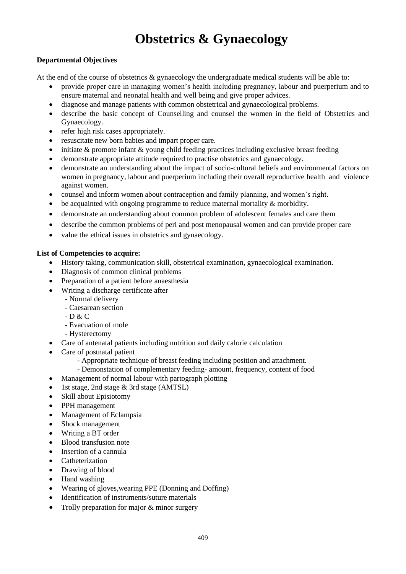# **Obstetrics & Gynaecology**

#### **Departmental Objectives**

At the end of the course of obstetrics & gynaecology the undergraduate medical students will be able to:

- provide proper care in managing women's health including pregnancy, labour and puerperium and to ensure maternal and neonatal health and well being and give proper advices.
- diagnose and manage patients with common obstetrical and gynaecological problems.
- describe the basic concept of Counselling and counsel the women in the field of Obstetrics and Gynaecology.
- refer high risk cases appropriately.
- resuscitate new born babies and impart proper care.
- initiate & promote infant & young child feeding practices including exclusive breast feeding
- demonstrate appropriate attitude required to practise obstetrics and gynaecology.
- demonstrate an understanding about the impact of socio-cultural beliefs and environmental factors on women in pregnancy, labour and puerperium including their overall reproductive health and violence against women.
- counsel and inform women about contraception and family planning, and women's right.
- be acquainted with ongoing programme to reduce maternal mortality & morbidity.
- demonstrate an understanding about common problem of adolescent females and care them
- describe the common problems of peri and post menopausal women and can provide proper care
- value the ethical issues in obstetrics and gynaecology.

#### **List of Competencies to acquire:**

- History taking, communication skill, obstetrical examination, gynaecological examination.
- Diagnosis of common clinical problems
- Preparation of a patient before anaesthesia
- Writing a discharge certificate after
	- Normal delivery
	- Caesarean section
	- D & C
	- Evacuation of mole
	- Hysterectomy
- Care of antenatal patients including nutrition and daily calorie calculation
- Care of postnatal patient
	- Appropriate technique of breast feeding including position and attachment.
	- Demonstation of complementary feeding- amount, frequency, content of food
- Management of normal labour with partograph plotting
- 1st stage, 2nd stage & 3rd stage (AMTSL)
- Skill about Episiotomy
- PPH management
- Management of Eclampsia
- Shock management
- Writing a BT order
- Blood transfusion note
- Insertion of a cannula
- **Catheterization**
- Drawing of blood
- Hand washing
- Wearing of gloves,wearing PPE (Donning and Doffing)
- Identification of instruments/suture materials
- Trolly preparation for major & minor surgery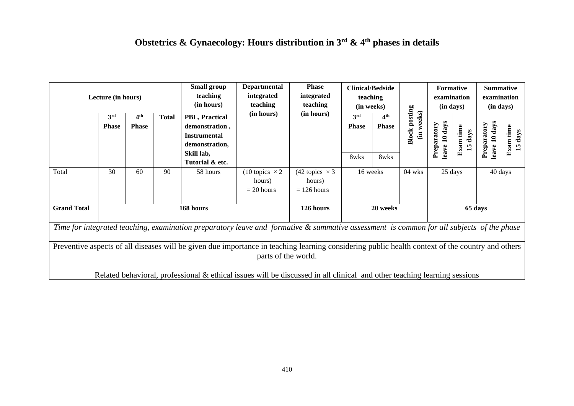# **Obstetrics & Gynaecology: Hours distribution in 3rd & 4th phases in details**

| Lecture (in hours)                                                                                                                                                      |                                                                                                                                          | Small group<br>teaching<br>(in hours) | <b>Departmental</b><br>integrated<br>teaching | <b>Phase</b><br>integrated<br>teaching                                                                                      |                                                 | <b>Clinical/Bedside</b><br>teaching<br>(in weeks) |                             |                                         | <b>Formative</b><br>examination<br>(in days) |                              | <b>Summative</b><br>examination<br>(in days) |                              |                      |
|-------------------------------------------------------------------------------------------------------------------------------------------------------------------------|------------------------------------------------------------------------------------------------------------------------------------------|---------------------------------------|-----------------------------------------------|-----------------------------------------------------------------------------------------------------------------------------|-------------------------------------------------|---------------------------------------------------|-----------------------------|-----------------------------------------|----------------------------------------------|------------------------------|----------------------------------------------|------------------------------|----------------------|
|                                                                                                                                                                         | 3rd<br><b>Phase</b>                                                                                                                      | 4 <sup>th</sup><br><b>Phase</b>       | Total                                         | PBL, Practical<br>demonstration,<br><b>Instrumental</b><br>demonstration,<br>Skill lab,<br>Tutorial & etc.                  | (in hours)                                      | (in hours)                                        | 3rd<br><b>Phase</b><br>8wks | 4 <sup>th</sup><br><b>Phase</b><br>8wks | <b>Block posting</b><br>(in weeks)           | leave 10 days<br>Preparatory | time<br>days<br>5<br>덜                       | leave 10 days<br>Preparatory | Exam time<br>15 days |
| Total                                                                                                                                                                   | 30                                                                                                                                       | 60                                    | 90                                            | 58 hours                                                                                                                    | (10 topics $\times$ 2<br>hours)<br>$= 20$ hours | (42 topics $\times$ 3<br>hours)<br>$= 126$ hours  |                             | 16 weeks                                | 04 wks                                       |                              | 25 days                                      |                              | 40 days              |
| <b>Grand Total</b>                                                                                                                                                      |                                                                                                                                          |                                       |                                               | 168 hours                                                                                                                   |                                                 | 126 hours                                         |                             | 20 weeks                                |                                              |                              | 65 days                                      |                              |                      |
|                                                                                                                                                                         | Time for integrated teaching, examination preparatory leave and formative & summative assessment is common for all subjects of the phase |                                       |                                               |                                                                                                                             |                                                 |                                                   |                             |                                         |                                              |                              |                                              |                              |                      |
| Preventive aspects of all diseases will be given due importance in teaching learning considering public health context of the country and others<br>parts of the world. |                                                                                                                                          |                                       |                                               |                                                                                                                             |                                                 |                                                   |                             |                                         |                                              |                              |                                              |                              |                      |
|                                                                                                                                                                         |                                                                                                                                          |                                       |                                               | Related behavioral, professional $\&$ ethical issues will be discussed in all clinical and other teaching learning sessions |                                                 |                                                   |                             |                                         |                                              |                              |                                              |                              |                      |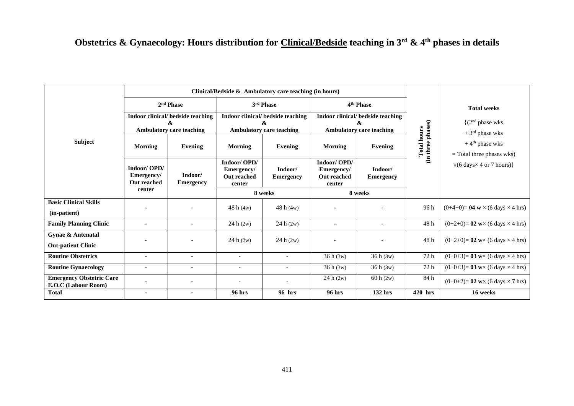# **Obstetrics & Gynaecology: Hours distribution for Clinical/Bedside teaching in 3rd & 4th phases in details**

|                                                        | Clinical/Bedside $\&$ Ambulatory care teaching (in hours) |                                   |                                                           |                             |                                                           |                             |                                         |                                                             |
|--------------------------------------------------------|-----------------------------------------------------------|-----------------------------------|-----------------------------------------------------------|-----------------------------|-----------------------------------------------------------|-----------------------------|-----------------------------------------|-------------------------------------------------------------|
|                                                        | 2 <sup>nd</sup> Phase                                     |                                   |                                                           | 3rd Phase                   |                                                           | 4 <sup>th</sup> Phase       |                                         | <b>Total weeks</b>                                          |
|                                                        |                                                           | Indoor clinical/ bedside teaching | Indoor clinical/ bedside teaching<br>&                    |                             | Indoor clinical/ bedside teaching<br>&                    |                             |                                         | $\{(2nd phase wks)$                                         |
|                                                        | <b>Ambulatory care teaching</b>                           |                                   | <b>Ambulatory care teaching</b>                           |                             | <b>Ambulatory care teaching</b>                           |                             |                                         | $+3rd$ phase wks                                            |
| Subject                                                | Morning                                                   | Evening                           | Morning                                                   | Evening                     | Morning                                                   | <b>Evening</b>              | (in three phases)<br><b>Total hours</b> | $+4$ <sup>th</sup> phase wks<br>$=$ Total three phases wks) |
|                                                        | Indoor/OPD/<br>Emergency/<br><b>Out reached</b>           | Indoor/<br><b>Emergency</b>       | Indoor/OPD/<br>Emergency/<br><b>Out reached</b><br>center | Indoor/<br><b>Emergency</b> | Indoor/OPD/<br>Emergency/<br><b>Out reached</b><br>center | Indoor/<br><b>Emergency</b> |                                         | $\times$ (6 days $\times$ 4 or 7 hours)}                    |
|                                                        | center                                                    |                                   | 8 weeks                                                   |                             | 8 weeks                                                   |                             |                                         |                                                             |
| <b>Basic Clinical Skills</b>                           |                                                           |                                   | 48h(4w)                                                   | 48h(4w)                     |                                                           |                             | 96 h                                    | $(0+4+0)=$ 04 w $\times$ (6 days $\times$ 4 hrs)            |
| (in-patient)                                           |                                                           |                                   |                                                           |                             |                                                           |                             |                                         |                                                             |
| <b>Family Planning Clinic</b>                          |                                                           | $\overline{\phantom{a}}$          | 24 h (2w)                                                 | 24 h (2w)                   | $\overline{\phantom{a}}$                                  | $\overline{\phantom{a}}$    | 48h                                     | $(0+2+0)=$ 02 w $\times$ (6 days $\times$ 4 hrs)            |
| Gynae & Antenatal<br><b>Out-patient Clinic</b>         |                                                           |                                   | 24 h (2w)                                                 | 24 h (2w)                   |                                                           |                             | 48h                                     | $(0+2+0)=$ 02 w $\times$ (6 days $\times$ 4 hrs)            |
| <b>Routine Obstetrics</b>                              | $\sim$                                                    | $\overline{a}$                    | $\overline{\phantom{a}}$                                  |                             | 36h(3w)                                                   | 36 h (3w)                   | 72 h                                    | $(0+0+3)=$ 03 w $\times$ (6 days $\times$ 4 hrs)            |
| <b>Routine Gynaecology</b>                             | $\overline{\phantom{0}}$                                  | $\overline{\phantom{a}}$          | $\overline{\phantom{a}}$                                  |                             | 36h(3w)                                                   | 36 h (3w)                   | 72 h                                    | $(0+0+3)=$ 03 w× (6 days × 4 hrs)                           |
| <b>Emergency Obstetric Care</b><br>E.O.C (Labour Room) |                                                           | $\qquad \qquad \blacksquare$      |                                                           |                             | 24 h (2w)                                                 | 60 h(2w)                    | 84 h                                    | $(0+0+2)=$ 02 w $\times$ (6 days $\times$ 7 hrs)            |
| Total                                                  |                                                           |                                   | 96 hrs                                                    | 96 hrs                      | <b>96 hrs</b>                                             | 132 hrs                     | 420 hrs                                 | 16 weeks                                                    |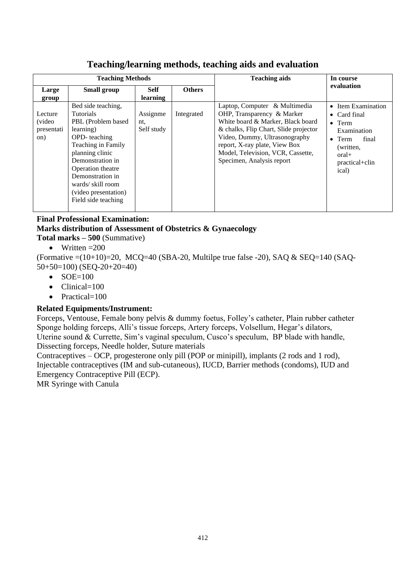| <b>Teaching Methods</b>                        |                                                                                                                                                                                                                                                                     |                                |               | <b>Teaching aids</b>                                                                                                                                                                                                                                                          | In course                                                                                                                                         |  |  |
|------------------------------------------------|---------------------------------------------------------------------------------------------------------------------------------------------------------------------------------------------------------------------------------------------------------------------|--------------------------------|---------------|-------------------------------------------------------------------------------------------------------------------------------------------------------------------------------------------------------------------------------------------------------------------------------|---------------------------------------------------------------------------------------------------------------------------------------------------|--|--|
| Large<br>group                                 | <b>Small group</b>                                                                                                                                                                                                                                                  | <b>Self</b><br><b>learning</b> | <b>Others</b> |                                                                                                                                                                                                                                                                               | evaluation                                                                                                                                        |  |  |
| Lecture<br><i>(video)</i><br>presentati<br>on) | Bed side teaching,<br><b>Tutorials</b><br>PBL (Problem based)<br>learning)<br>OPD-teaching<br>Teaching in Family<br>planning clinic<br>Demonstration in<br>Operation theatre<br>Demonstration in<br>wards/skill room<br>(video presentation)<br>Field side teaching | Assignme<br>nt.<br>Self study  | Integrated    | Laptop, Computer & Multimedia<br>OHP, Transparency & Marker<br>White board & Marker, Black board<br>& chalks, Flip Chart, Slide projector<br>Video, Dummy, Ultrasonography<br>report, X-ray plate, View Box<br>Model, Television, VCR, Cassette,<br>Specimen, Analysis report | • Item Examination<br>• Card final<br>$\bullet$ Term<br>Examination<br>$\bullet$ Term<br>final<br>(written,<br>$oral+$<br>practical+clin<br>ical) |  |  |

# **Teaching/learning methods, teaching aids and evaluation**

# **Final Professional Examination: Marks distribution of Assessment of Obstetrics & Gynaecology**

- **Total marks – 500** (Summative)
	- Written  $=200$

(Formative  $=(10+10)=20$ , MCQ=40 (SBA-20, Multilpe true false -20), SAQ & SEQ=140 (SAQ-50+50=100) (SEQ-20+20=40)

- **SOE=100**
- Clinical=100
- Practical=100

# **Related Equipments/Instrument:**

Forceps, Ventouse, Female bony pelvis & dummy foetus, Folley's catheter, Plain rubber catheter Sponge holding forceps, Alli's tissue forceps, Artery forceps, Volsellum, Hegar's dilators, Uterine sound & Currette, Sim's vaginal speculum, Cusco's speculum, BP blade with handle, Dissecting forceps, Needle holder, Suture materials

Contraceptives – OCP, progesterone only pill (POP or minipill), implants (2 rods and 1 rod), Injectable contraceptives (IM and sub-cutaneous), IUCD, Barrier methods (condoms), IUD and Emergency Contraceptive Pill (ECP).

MR Syringe with Canula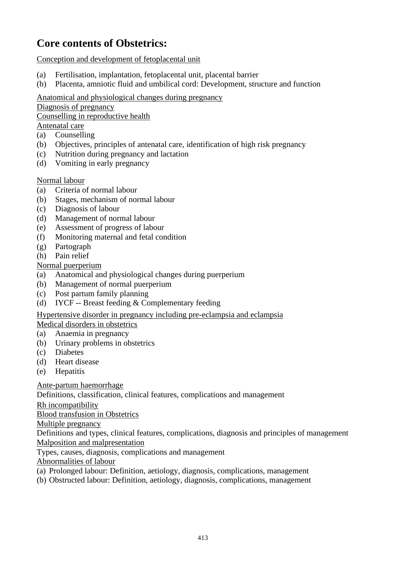# **Core contents of Obstetrics:**

Conception and development of fetoplacental unit

- (a) Fertilisation, implantation, fetoplacental unit, placental barrier
- (b) Placenta, amniotic fluid and umbilical cord: Development, structure and function

Anatomical and physiological changes during pregnancy

Diagnosis of pregnancy

Counselling in reproductive health

# Antenatal care

- (a) Counselling
- (b) Objectives, principles of antenatal care, identification of high risk pregnancy
- (c) Nutrition during pregnancy and lactation
- (d) Vomiting in early pregnancy

# Normal labour

- (a) Criteria of normal labour
- (b) Stages, mechanism of normal labour
- (c) Diagnosis of labour
- (d) Management of normal labour
- (e) Assessment of progress of labour
- (f) Monitoring maternal and fetal condition
- (g) Partograph
- (h) Pain relief

# Normal puerperium

- (a) Anatomical and physiological changes during puerperium
- (b) Management of normal puerperium
- (c) Post partum family planning
- (d) IYCF -- Breast feeding & Complementary feeding

# Hypertensive disorder in pregnancy including pre-eclampsia and eclampsia

## Medical disorders in obstetrics

- (a) Anaemia in pregnancy
- (b) Urinary problems in obstetrics
- (c) Diabetes
- (d) Heart disease
- (e) Hepatitis

Ante-partum haemorrhage

Definitions, classification, clinical features, complications and management

Rh incompatibility

Blood transfusion in Obstetrics

Multiple pregnancy

Definitions and types, clinical features, complications, diagnosis and principles of management Malposition and malpresentation

Types, causes, diagnosis, complications and management

Abnormalities of labour

- (a) Prolonged labour: Definition, aetiology, diagnosis, complications, management
- (b) Obstructed labour: Definition, aetiology, diagnosis, complications, management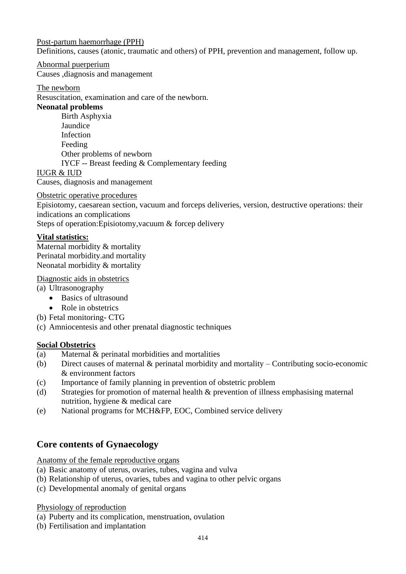#### Post-partum haemorrhage (PPH)

Definitions, causes (atonic, traumatic and others) of PPH, prevention and management, follow up.

#### Abnormal puerperium

Causes ,diagnosis and management

#### The newborn

Resuscitation, examination and care of the newborn.

#### **Neonatal problems**

Birth Asphyxia Jaundice Infection Feeding Other problems of newborn IYCF -- Breast feeding & Complementary feeding

#### IUGR & IUD

Causes, diagnosis and management

Obstetric operative procedures

Episiotomy, caesarean section, vacuum and forceps deliveries, version, destructive operations: their indications an complications

Steps of operation:Episiotomy,vacuum & forcep delivery

## **Vital statistics:**

Maternal morbidity & mortality Perinatal morbidity.and mortality Neonatal morbidity & mortality

Diagnostic aids in obstetrics

- (a) Ultrasonography
	- Basics of ultrasound
	- Role in obstetrics
- (b) Fetal monitoring- CTG
- (c) Amniocentesis and other prenatal diagnostic techniques

## **Social Obstetrics**

- (a) Maternal & perinatal morbidities and mortalities
- (b) Direct causes of maternal & perinatal morbidity and mortality Contributing socio-economic & environment factors
- (c) Importance of family planning in prevention of obstetric problem
- (d) Strategies for promotion of maternal health & prevention of illness emphasising maternal nutrition, hygiene & medical care
- (e) National programs for MCH&FP, EOC, Combined service delivery

# **Core contents of Gynaecology**

Anatomy of the female reproductive organs

- (a) Basic anatomy of uterus, ovaries, tubes, vagina and vulva
- (b) Relationship of uterus, ovaries, tubes and vagina to other pelvic organs
- (c) Developmental anomaly of genital organs

#### Physiology of reproduction

(a) Puberty and its complication, menstruation, ovulation

(b) Fertilisation and implantation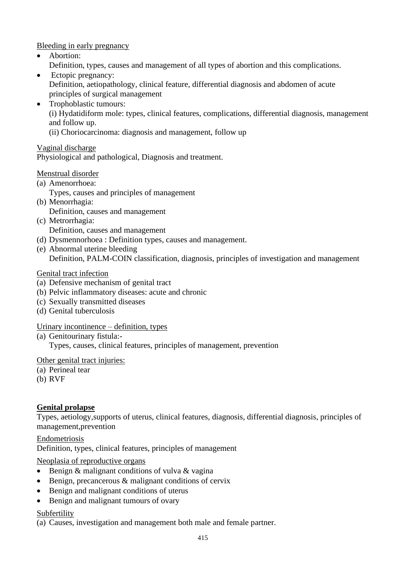Bleeding in early pregnancy

- Abortion:
	- Definition, types, causes and management of all types of abortion and this complications.
- Ectopic pregnancy: Definition, aetiopathology, clinical feature, differential diagnosis and abdomen of acute principles of surgical management
- Trophoblastic tumours:

(i) Hydatidiform mole: types, clinical features, complications, differential diagnosis, management and follow up.

(ii) Choriocarcinoma: diagnosis and management, follow up

# Vaginal discharge

Physiological and pathological, Diagnosis and treatment.

## Menstrual disorder

- (a) Amenorrhoea:
	- Types, causes and principles of management
- (b) Menorrhagia: Definition, causes and management
- (c) Metrorrhagia: Definition, causes and management
- (d) Dysmennorhoea : Definition types, causes and management.
- (e) Abnormal uterine bleeding Definition, PALM-COIN classification, diagnosis, principles of investigation and management

# Genital tract infection

- (a) Defensive mechanism of genital tract
- (b) Pelvic inflammatory diseases: acute and chronic
- (c) Sexually transmitted diseases
- (d) Genital tuberculosis

## Urinary incontinence – definition, types

(a) Genitourinary fistula:-

Types, causes, clinical features, principles of management, prevention

## Other genital tract injuries:

- (a) Perineal tear
- (b) RVF

# **Genital prolapse**

Types, aetiology,supports of uterus, clinical features, diagnosis, differential diagnosis, principles of management,prevention

Endometriosis Definition, types, clinical features, principles of management

## Neoplasia of reproductive organs

- Benign & malignant conditions of vulva & vagina
- Benign, precancerous & malignant conditions of cervix
- Benign and malignant conditions of uterus
- Benign and malignant tumours of ovary

## Subfertility

(a) Causes, investigation and management both male and female partner.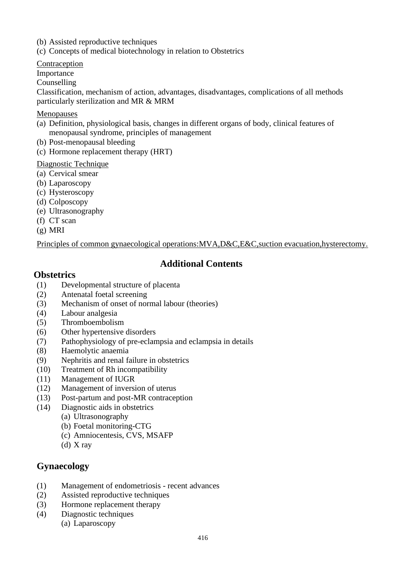(b) Assisted reproductive techniques

(c) Concepts of medical biotechnology in relation to Obstetrics

Contraception

Importance

Counselling

Classification, mechanism of action, advantages, disadvantages, complications of all methods particularly sterilization and MR & MRM

#### Menopauses

- (a) Definition, physiological basis, changes in different organs of body, clinical features of menopausal syndrome, principles of management
- (b) Post-menopausal bleeding
- (c) Hormone replacement therapy (HRT)

## Diagnostic Technique

- (a) Cervical smear
- (b) Laparoscopy
- (c) Hysteroscopy
- (d) Colposcopy
- (e) Ultrasonography
- (f) CT scan
- (g) MRI

Principles of common gynaecological operations:MVA,D&C,E&C,suction evacuation,hysterectomy.

# **Additional Contents**

## **Obstetrics**

- (1) Developmental structure of placenta
- (2) Antenatal foetal screening
- (3) Mechanism of onset of normal labour (theories)
- (4) Labour analgesia
- (5) Thromboembolism
- (6) Other hypertensive disorders
- (7) Pathophysiology of pre-eclampsia and eclampsia in details
- (8) Haemolytic anaemia
- (9) Nephritis and renal failure in obstetrics
- (10) Treatment of Rh incompatibility
- (11) Management of IUGR
- (12) Management of inversion of uterus
- (13) Post-partum and post-MR contraception
- (14) Diagnostic aids in obstetrics
	- (a) Ultrasonography
	- (b) Foetal monitoring-CTG
	- (c) Amniocentesis, CVS, MSAFP
	- (d) X ray

# **Gynaecology**

- (1) Management of endometriosis recent advances
- (2) Assisted reproductive techniques
- (3) Hormone replacement therapy
- (4) Diagnostic techniques
	- (a) Laparoscopy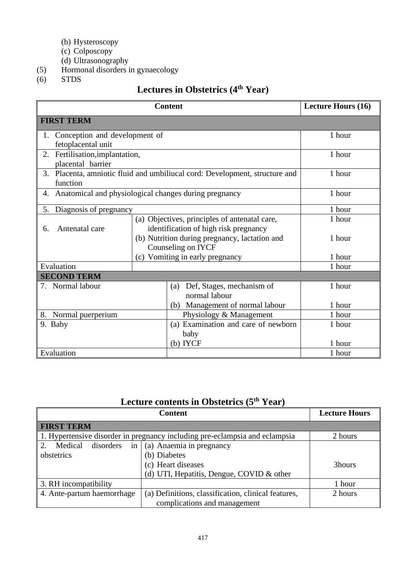- (b) Hysteroscopy
- (c) Colposcopy
- (d) Ultrasonography
- (5) Hormonal disorders in gynaecology
- $(6)$  STDS

# **Lectures in Obstetrics (4th Year)**

|                                                             |        | <b>Content</b>                                                                         | <b>Lecture Hours (16)</b> |
|-------------------------------------------------------------|--------|----------------------------------------------------------------------------------------|---------------------------|
| <b>FIRST TERM</b>                                           |        |                                                                                        |                           |
| 1. Conception and development of<br>fetoplacental unit      |        |                                                                                        | 1 hour                    |
| Fertilisation, implantation,<br>2.<br>placental barrier     |        |                                                                                        | 1 hour                    |
| 3.<br>function                                              |        | Placenta, amniotic fluid and umbiliucal cord: Development, structure and               | 1 hour                    |
| Anatomical and physiological changes during pregnancy<br>4. |        |                                                                                        | 1 hour                    |
| Diagnosis of pregnancy<br>5.                                | 1 hour |                                                                                        |                           |
| Antenatal care<br>6.                                        |        | (a) Objectives, principles of antenatal care,<br>identification of high risk pregnancy | 1 hour                    |
|                                                             |        | (b) Nutrition during pregnancy, lactation and<br>Counseling on IYCF                    | 1 hour                    |
|                                                             |        | (c) Vomiting in early pregnancy                                                        | 1 hour                    |
| Evaluation                                                  |        |                                                                                        | 1 hour                    |
| <b>SECOND TERM</b>                                          |        |                                                                                        |                           |
| 7. Normal labour                                            |        | Def, Stages, mechanism of<br>(a)<br>normal labour                                      | 1 hour                    |
|                                                             |        | (b) Management of normal labour                                                        | 1 hour                    |
| 8. Normal puerperium                                        |        | Physiology & Management                                                                | 1 hour                    |
| 9. Baby                                                     |        | (a) Examination and care of newborn<br>baby                                            | 1 hour                    |
|                                                             |        | $(b)$ IYCF                                                                             | 1 hour                    |
| Evaluation                                                  |        |                                                                                        | 1 hour                    |

# **Lecture contents in Obstetrics (5th Year)**

|                                  | <b>Lecture Hours</b>                                                        |         |
|----------------------------------|-----------------------------------------------------------------------------|---------|
| <b>FIRST TERM</b>                |                                                                             |         |
|                                  | 1. Hypertensive disorder in pregnancy including pre-eclampsia and eclampsia | 2 hours |
| in<br>Medical<br>disorders<br>2. | (a) Anaemia in pregnancy                                                    |         |
| obstetrics                       | (b) Diabetes                                                                |         |
|                                  | (c) Heart diseases                                                          | 3hours  |
|                                  | (d) UTI, Hepatitis, Dengue, COVID $&$ other                                 |         |
| 3. RH incompatibility            |                                                                             | 1 hour  |
| 4. Ante-partum haemorrhage       | (a) Definitions, classification, clinical features,                         | 2 hours |
|                                  | complications and management                                                |         |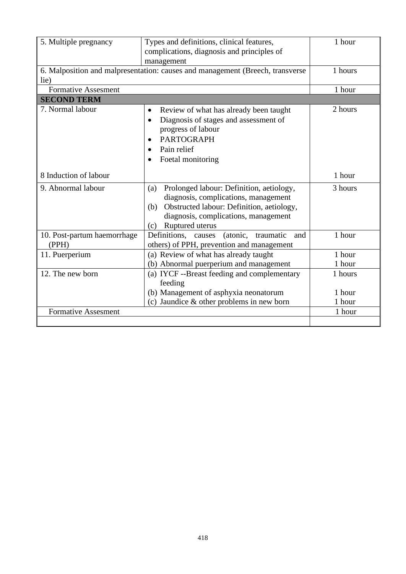| 5. Multiple pregnancy                                                                 | Types and definitions, clinical features,<br>complications, diagnosis and principles of<br>management                                                                                                      |                             |
|---------------------------------------------------------------------------------------|------------------------------------------------------------------------------------------------------------------------------------------------------------------------------------------------------------|-----------------------------|
| 6. Malposition and malpresentation: causes and management (Breech, transverse<br>lie) | 1 hours                                                                                                                                                                                                    |                             |
| <b>Formative Assesment</b>                                                            |                                                                                                                                                                                                            | 1 hour                      |
| <b>SECOND TERM</b>                                                                    |                                                                                                                                                                                                            |                             |
| 7. Normal labour                                                                      | Review of what has already been taught<br>$\bullet$<br>Diagnosis of stages and assessment of<br>$\bullet$<br>progress of labour<br><b>PARTOGRAPH</b><br>Pain relief<br>Foetal monitoring                   | 2 hours                     |
| 8 Induction of labour                                                                 |                                                                                                                                                                                                            | 1 hour                      |
| 9. Abnormal labour                                                                    | Prolonged labour: Definition, aetiology,<br>(a)<br>diagnosis, complications, management<br>Obstructed labour: Definition, aetiology,<br>(b)<br>diagnosis, complications, management<br>(c) Ruptured uterus | 3 hours                     |
| 10. Post-partum haemorrhage<br>(PPH)                                                  | Definitions,<br>(atonic,<br>traumatic<br>causes<br>and<br>others) of PPH, prevention and management                                                                                                        | 1 hour                      |
| 11. Puerperium                                                                        | (a) Review of what has already taught<br>(b) Abnormal puerperium and management                                                                                                                            | 1 hour<br>1 hour            |
| 12. The new born                                                                      | (a) IYCF --Breast feeding and complementary<br>feeding<br>(b) Management of asphyxia neonatorum<br>(c) Jaundice $&$ other problems in new born                                                             | 1 hours<br>1 hour<br>1 hour |
| <b>Formative Assesment</b>                                                            |                                                                                                                                                                                                            | 1 hour                      |
|                                                                                       |                                                                                                                                                                                                            |                             |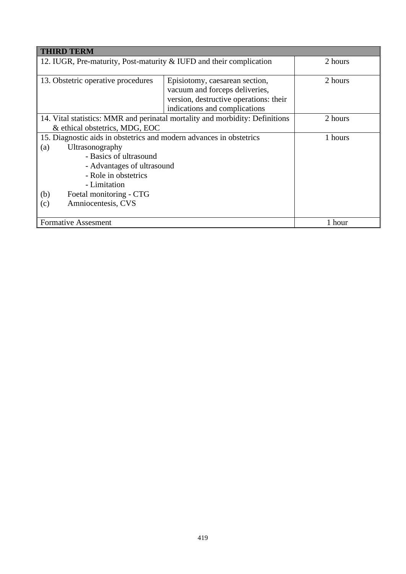| <b>THIRD TERM</b>                                                                                              |                                                                                                            |         |  |  |
|----------------------------------------------------------------------------------------------------------------|------------------------------------------------------------------------------------------------------------|---------|--|--|
| 12. IUGR, Pre-maturity, Post-maturity & IUFD and their complication                                            | 2 hours                                                                                                    |         |  |  |
| 13. Obstetric operative procedures                                                                             | Episiotomy, caesarean section,<br>vacuum and forceps deliveries,<br>version, destructive operations: their | 2 hours |  |  |
|                                                                                                                | indications and complications                                                                              |         |  |  |
| 14. Vital statistics: MMR and perinatal mortality and morbidity: Definitions<br>& ethical obstetrics, MDG, EOC | 2 hours                                                                                                    |         |  |  |
| 15. Diagnostic aids in obstetrics and modern advances in obstetrics                                            | 1 hours                                                                                                    |         |  |  |
| Ultrasonography<br>(a)                                                                                         |                                                                                                            |         |  |  |
| - Basics of ultrasound                                                                                         |                                                                                                            |         |  |  |
| - Advantages of ultrasound                                                                                     |                                                                                                            |         |  |  |
| - Role in obstetrics                                                                                           |                                                                                                            |         |  |  |
| - Limitation                                                                                                   |                                                                                                            |         |  |  |
| Foetal monitoring - CTG<br>(b)                                                                                 |                                                                                                            |         |  |  |
| Amniocentesis, CVS<br>(c)                                                                                      |                                                                                                            |         |  |  |
| <b>Formative Assesment</b>                                                                                     |                                                                                                            | 1 hour  |  |  |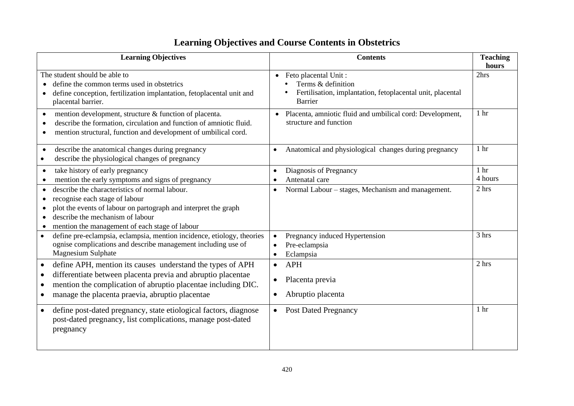# **Learning Objectives and Course Contents in Obstetrics**

| <b>Learning Objectives</b>                                                                                                                                                                                                                                                                         | <b>Contents</b>                                                                                                                  | <b>Teaching</b><br>hours   |
|----------------------------------------------------------------------------------------------------------------------------------------------------------------------------------------------------------------------------------------------------------------------------------------------------|----------------------------------------------------------------------------------------------------------------------------------|----------------------------|
| The student should be able to<br>define the common terms used in obstetrics<br>define conception, fertilization implantation, fetoplacental unit and<br>$\bullet$<br>placental barrier.                                                                                                            | Feto placental Unit:<br>$\bullet$<br>Terms & definition<br>Fertilisation, implantation, fetoplacental unit, placental<br>Barrier | 2hrs                       |
| mention development, structure & function of placenta.<br>$\bullet$<br>describe the formation, circulation and function of amniotic fluid.<br>$\bullet$<br>mention structural, function and development of umbilical cord.<br>$\bullet$                                                            | Placenta, amniotic fluid and umbilical cord: Development,<br>$\bullet$<br>structure and function                                 | 1 <sub>hr</sub>            |
| describe the anatomical changes during pregnancy<br>$\bullet$<br>describe the physiological changes of pregnancy                                                                                                                                                                                   | Anatomical and physiological changes during pregnancy<br>$\bullet$                                                               | 1 <sub>hr</sub>            |
| take history of early pregnancy<br>$\bullet$<br>mention the early symptoms and signs of pregnancy<br>$\bullet$                                                                                                                                                                                     | Diagnosis of Pregnancy<br>$\bullet$<br>Antenatal care                                                                            | 1 <sub>hr</sub><br>4 hours |
| describe the characteristics of normal labour.<br>$\bullet$<br>recognise each stage of labour<br>plot the events of labour on partograph and interpret the graph<br>describe the mechanism of labour<br>mention the management of each stage of labour<br>$\bullet$                                | Normal Labour – stages, Mechanism and management.<br>$\bullet$                                                                   | 2 hrs                      |
| define pre-eclampsia, eclampsia, mention incidence, etiology, theories<br>$\bullet$<br>ognise complications and describe management including use of<br><b>Magnesium Sulphate</b>                                                                                                                  | Pregnancy induced Hypertension<br>Pre-eclampsia<br>Eclampsia<br>$\bullet$                                                        | 3 hrs                      |
| define APH, mention its causes understand the types of APH<br>$\bullet$<br>differentiate between placenta previa and abruptio placentae<br>$\bullet$<br>mention the complication of abruptio placentae including DIC.<br>$\bullet$<br>manage the placenta praevia, abruptio placentae<br>$\bullet$ | <b>APH</b><br>$\bullet$<br>Placenta previa<br>Abruptio placenta                                                                  | 2 hrs                      |
| define post-dated pregnancy, state etiological factors, diagnose<br>$\bullet$<br>post-dated pregnancy, list complications, manage post-dated<br>pregnancy                                                                                                                                          | <b>Post Dated Pregnancy</b><br>$\bullet$                                                                                         | 1 <sub>hr</sub>            |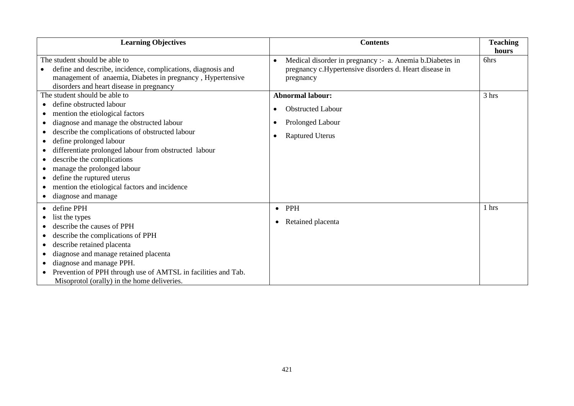| <b>Learning Objectives</b>                                                                                                                                                                                                                                                                                                                                                                                                                          | <b>Contents</b>                                                                                                                              | <b>Teaching</b> |
|-----------------------------------------------------------------------------------------------------------------------------------------------------------------------------------------------------------------------------------------------------------------------------------------------------------------------------------------------------------------------------------------------------------------------------------------------------|----------------------------------------------------------------------------------------------------------------------------------------------|-----------------|
|                                                                                                                                                                                                                                                                                                                                                                                                                                                     |                                                                                                                                              | hours           |
| The student should be able to<br>define and describe, incidence, complications, diagnosis and<br>management of anaemia, Diabetes in pregnancy, Hypertensive<br>disorders and heart disease in pregnancy                                                                                                                                                                                                                                             | Medical disorder in pregnancy :- a. Anemia b.Diabetes in<br>$\bullet$<br>pregnancy c.Hypertensive disorders d. Heart disease in<br>pregnancy | 6hrs            |
| The student should be able to<br>define obstructed labour<br>mention the etiological factors<br>diagnose and manage the obstructed labour<br>describe the complications of obstructed labour<br>define prolonged labour<br>differentiate prolonged labour from obstructed labour<br>describe the complications<br>manage the prolonged labour<br>define the ruptured uterus<br>mention the etiological factors and incidence<br>diagnose and manage | <b>Abnormal labour:</b><br><b>Obstructed Labour</b><br>Prolonged Labour<br><b>Raptured Uterus</b>                                            | 3 hrs           |
| define PPH<br>list the types<br>describe the causes of PPH<br>describe the complications of PPH<br>describe retained placenta<br>diagnose and manage retained placenta<br>diagnose and manage PPH.<br>Prevention of PPH through use of AMTSL in facilities and Tab.<br>Misoprotol (orally) in the home deliveries.                                                                                                                                  | PPH<br>$\bullet$<br>Retained placenta<br>٠                                                                                                   | 1 hrs           |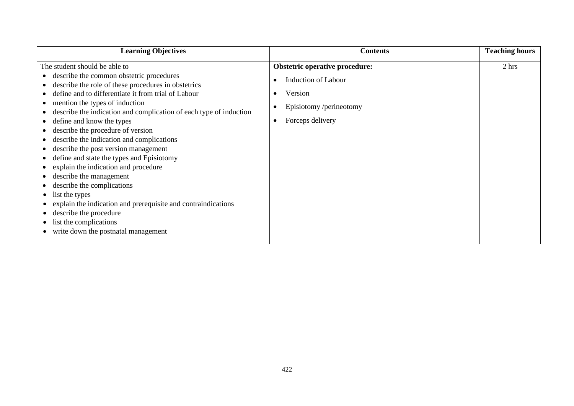| <b>Learning Objectives</b>                                                                                                                                                                                                                                                                                                                                                                                                                                                                                                                                                                                                                                                                                                                                                         | <b>Contents</b>                                                                                                                            | <b>Teaching hours</b> |
|------------------------------------------------------------------------------------------------------------------------------------------------------------------------------------------------------------------------------------------------------------------------------------------------------------------------------------------------------------------------------------------------------------------------------------------------------------------------------------------------------------------------------------------------------------------------------------------------------------------------------------------------------------------------------------------------------------------------------------------------------------------------------------|--------------------------------------------------------------------------------------------------------------------------------------------|-----------------------|
| The student should be able to<br>describe the common obstetric procedures<br>describe the role of these procedures in obstetrics<br>define and to differentiate it from trial of Labour<br>mention the types of induction<br>describe the indication and complication of each type of induction<br>define and know the types<br>describe the procedure of version<br>describe the indication and complications<br>describe the post version management<br>define and state the types and Episiotomy<br>explain the indication and procedure<br>describe the management<br>describe the complications<br>list the types<br>explain the indication and prerequisite and contraindications<br>describe the procedure<br>list the complications<br>write down the postnatal management | <b>Obstetric operative procedure:</b><br><b>Induction of Labour</b><br>Version<br>Episiotomy /perineotomy<br>Forceps delivery<br>$\bullet$ | 2 hrs                 |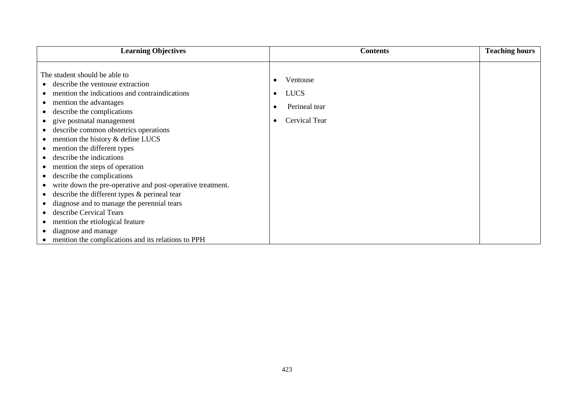| <b>Learning Objectives</b>                                                                                                                                                                                                                                                                                                                                                                                                                                                                                                                                                                                                                                                                                                 | <b>Contents</b>                                                                                  | <b>Teaching hours</b> |
|----------------------------------------------------------------------------------------------------------------------------------------------------------------------------------------------------------------------------------------------------------------------------------------------------------------------------------------------------------------------------------------------------------------------------------------------------------------------------------------------------------------------------------------------------------------------------------------------------------------------------------------------------------------------------------------------------------------------------|--------------------------------------------------------------------------------------------------|-----------------------|
| The student should be able to<br>describe the ventouse extraction<br>mention the indications and contraindications<br>mention the advantages<br>describe the complications<br>give postnatal management<br>describe common obstetrics operations<br>mention the history & define LUCS<br>mention the different types<br>describe the indications<br>mention the steps of operation<br>describe the complications<br>write down the pre-operative and post-operative treatment.<br>describe the different types $\&$ perineal tear<br>diagnose and to manage the perennial tears<br>describe Cervical Tears<br>mention the etiological feature<br>diagnose and manage<br>mention the complications and its relations to PPH | Ventouse<br>$\bullet$<br><b>LUCS</b><br>$\bullet$<br>Perineal tear<br>Cervical Tear<br>$\bullet$ |                       |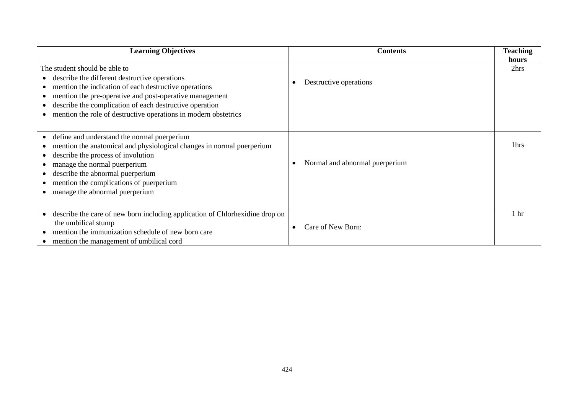| <b>Learning Objectives</b>                                                                                                                                                                                                                                                                                                       | <b>Contents</b>                | <b>Teaching</b><br>hours |
|----------------------------------------------------------------------------------------------------------------------------------------------------------------------------------------------------------------------------------------------------------------------------------------------------------------------------------|--------------------------------|--------------------------|
| The student should be able to<br>describe the different destructive operations<br>mention the indication of each destructive operations<br>mention the pre-operative and post-operative management<br>describe the complication of each destructive operation<br>mention the role of destructive operations in modern obstetrics | Destructive operations         | 2hrs                     |
| define and understand the normal puerperium<br>$\bullet$<br>mention the anatomical and physiological changes in normal puerperium<br>describe the process of involution<br>manage the normal puerperium<br>describe the abnormal puerperium<br>mention the complications of puerperium<br>manage the abnormal puerperium         | Normal and abnormal puerperium | 1 <sub>hrs</sub>         |
| describe the care of new born including application of Chlorhexidine drop on<br>$\bullet$<br>the umbilical stump<br>mention the immunization schedule of new born care<br>mention the management of umbilical cord                                                                                                               | Care of New Born:              | 1 <sub>hr</sub>          |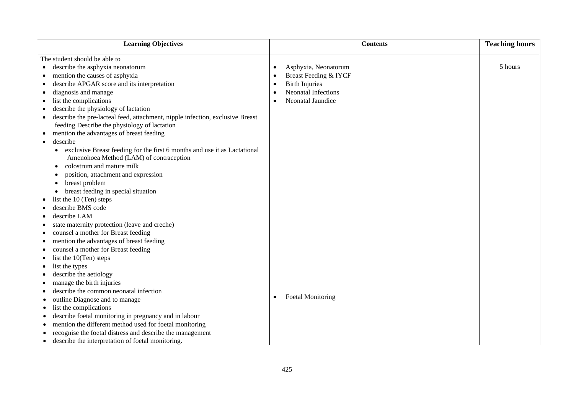| <b>Learning Objectives</b>                                                             | <b>Contents</b>                         | <b>Teaching hours</b> |
|----------------------------------------------------------------------------------------|-----------------------------------------|-----------------------|
| The student should be able to                                                          |                                         |                       |
| describe the asphyxia neonatorum<br>$\bullet$                                          | Asphyxia, Neonatorum<br>$\bullet$       | 5 hours               |
| mention the causes of asphyxia<br>٠                                                    | Breast Feeding & IYCF<br>$\bullet$      |                       |
| describe APGAR score and its interpretation<br>$\bullet$                               | <b>Birth Injuries</b><br>$\bullet$      |                       |
| diagnosis and manage<br>$\bullet$                                                      | <b>Neonatal Infections</b><br>$\bullet$ |                       |
| list the complications                                                                 | Neonatal Jaundice<br>$\bullet$          |                       |
| describe the physiology of lactation                                                   |                                         |                       |
| describe the pre-lacteal feed, attachment, nipple infection, exclusive Breast          |                                         |                       |
| feeding Describe the physiology of lactation                                           |                                         |                       |
| mention the advantages of breast feeding<br>$\bullet$                                  |                                         |                       |
| describe<br>$\bullet$                                                                  |                                         |                       |
| exclusive Breast feeding for the first 6 months and use it as Lactational<br>$\bullet$ |                                         |                       |
| Amenohoea Method (LAM) of contraception                                                |                                         |                       |
| colostrum and mature milk<br>$\bullet$                                                 |                                         |                       |
| position, attachment and expression<br>$\bullet$                                       |                                         |                       |
| breast problem                                                                         |                                         |                       |
| breast feeding in special situation                                                    |                                         |                       |
| list the 10 (Ten) steps                                                                |                                         |                       |
| describe BMS code                                                                      |                                         |                       |
| describe LAM                                                                           |                                         |                       |
| state maternity protection (leave and creche)<br>٠                                     |                                         |                       |
| counsel a mother for Breast feeding<br>٠                                               |                                         |                       |
| mention the advantages of breast feeding<br>$\bullet$                                  |                                         |                       |
| counsel a mother for Breast feeding<br>$\bullet$                                       |                                         |                       |
| list the 10(Ten) steps<br>$\bullet$                                                    |                                         |                       |
| list the types<br>$\bullet$                                                            |                                         |                       |
| describe the aetiology<br>$\bullet$                                                    |                                         |                       |
| manage the birth injuries<br>$\bullet$                                                 |                                         |                       |
| describe the common neonatal infection<br>$\bullet$                                    |                                         |                       |
| outline Diagnose and to manage<br>$\bullet$                                            | <b>Foetal Monitoring</b><br>$\bullet$   |                       |
| list the complications<br>$\bullet$                                                    |                                         |                       |
| describe foetal monitoring in pregnancy and in labour<br>٠                             |                                         |                       |
| mention the different method used for foetal monitoring<br>٠                           |                                         |                       |
| recognise the foetal distress and describe the management                              |                                         |                       |
| describe the interpretation of foetal monitoring.<br>$\bullet$                         |                                         |                       |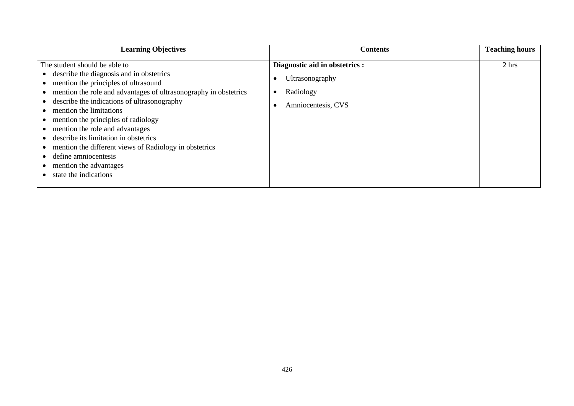| <b>Learning Objectives</b>                                                                                                                                                                                                                                                                                                                                                                                                                                                                                                | <b>Contents</b>                                                                      | <b>Teaching hours</b> |
|---------------------------------------------------------------------------------------------------------------------------------------------------------------------------------------------------------------------------------------------------------------------------------------------------------------------------------------------------------------------------------------------------------------------------------------------------------------------------------------------------------------------------|--------------------------------------------------------------------------------------|-----------------------|
| The student should be able to<br>• describe the diagnosis and in obstetrics<br>mention the principles of ultrasound<br>mention the role and advantages of ultrasonography in obstetrics<br>describe the indications of ultrasonography<br>mention the limitations<br>mention the principles of radiology<br>mention the role and advantages<br>describe its limitation in obstetrics<br>mention the different views of Radiology in obstetrics<br>define amniocentesis<br>mention the advantages<br>state the indications | Diagnostic aid in obstetrics :<br>Ultrasonography<br>Radiology<br>Amniocentesis, CVS | 2 hrs                 |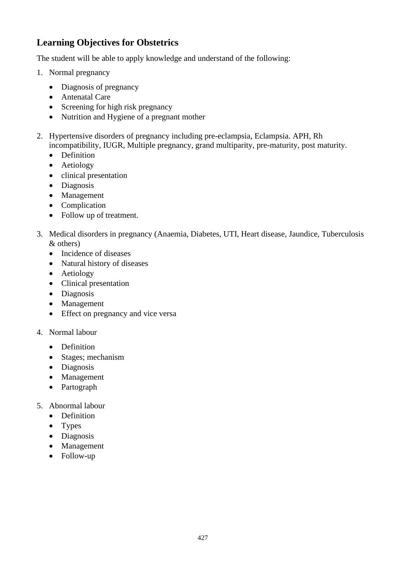# **Learning Objectives for Obstetrics**

The student will be able to apply knowledge and understand of the following:

- 1. Normal pregnancy
	- Diagnosis of pregnancy
	- Antenatal Care
	- Screening for high risk pregnancy
	- Nutrition and Hygiene of a pregnant mother
- 2. Hypertensive disorders of pregnancy including pre-eclampsia, Eclampsia. APH, Rh incompatibility, IUGR, Multiple pregnancy, grand multiparity, pre-maturity, post maturity.
	- Definition
	- Aetiology
	- clinical presentation
	- Diagnosis
	- Management
	- Complication
	- Follow up of treatment.
- 3. Medical disorders in pregnancy (Anaemia, Diabetes, UTI, Heart disease, Jaundice, Tuberculosis & others)
	- Incidence of diseases
	- Natural history of diseases
	- Aetiology
	- Clinical presentation
	- Diagnosis
	- Management
	- Effect on pregnancy and vice versa
- 4. Normal labour
	- Definition
	- Stages; mechanism
	- Diagnosis
	- Management
	- Partograph
- 5. Abnormal labour
	- Definition
	- Types
	- Diagnosis
	- Management
	- Follow-up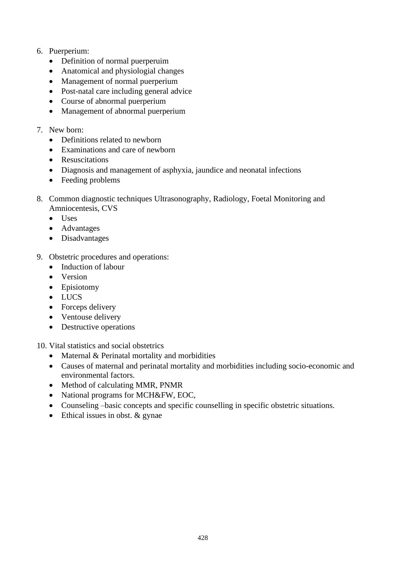- 6. Puerperium:
	- Definition of normal puerperuim
	- Anatomical and physiologial changes
	- Management of normal puerperium
	- Post-natal care including general advice
	- Course of abnormal puerperium
	- Management of abnormal puerperium
- 7. New born:
	- Definitions related to newborn
	- Examinations and care of newborn
	- Resuscitations
	- Diagnosis and management of asphyxia, jaundice and neonatal infections
	- Feeding problems
- 8. Common diagnostic techniques Ultrasonography, Radiology, Foetal Monitoring and Amniocentesis, CVS
	- Uses
	- Advantages
	- Disadvantages
- 9. Obstetric procedures and operations:
	- Induction of labour
	- Version
	- Episiotomy
	- LUCS
	- Forceps delivery
	- Ventouse delivery
	- Destructive operations

10. Vital statistics and social obstetrics

- Maternal & Perinatal mortality and morbidities
- Causes of maternal and perinatal mortality and morbidities including socio-economic and environmental factors.
- Method of calculating MMR, PNMR
- National programs for MCH&FW, EOC,
- Counseling –basic concepts and specific counselling in specific obstetric situations.
- Ethical issues in obst. & gynae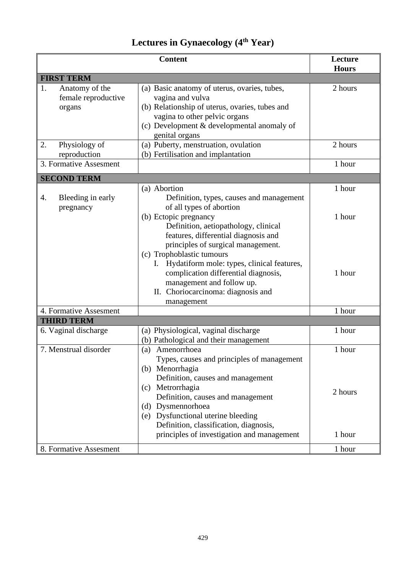# **Lectures in Gynaecology (4th Year)**

| <b>Content</b>                                        |                                                                                                                                                                                                                                                                                                                                      | Lecture<br><b>Hours</b>     |
|-------------------------------------------------------|--------------------------------------------------------------------------------------------------------------------------------------------------------------------------------------------------------------------------------------------------------------------------------------------------------------------------------------|-----------------------------|
| <b>FIRST TERM</b>                                     |                                                                                                                                                                                                                                                                                                                                      |                             |
| 1.<br>Anatomy of the<br>female reproductive<br>organs | (a) Basic anatomy of uterus, ovaries, tubes,<br>vagina and vulva<br>(b) Relationship of uterus, ovaries, tubes and<br>vagina to other pelvic organs<br>(c) Development & developmental anomaly of<br>genital organs                                                                                                                  | 2 hours                     |
| Physiology of<br>2.<br>reproduction                   | (a) Puberty, menstruation, ovulation<br>(b) Fertilisation and implantation                                                                                                                                                                                                                                                           | 2 hours                     |
| 3. Formative Assesment                                |                                                                                                                                                                                                                                                                                                                                      | 1 hour                      |
| <b>SECOND TERM</b>                                    |                                                                                                                                                                                                                                                                                                                                      |                             |
| Bleeding in early<br>4.<br>pregnancy                  | (a) Abortion<br>Definition, types, causes and management<br>of all types of abortion<br>(b) Ectopic pregnancy<br>Definition, aetiopathology, clinical<br>features, differential diagnosis and<br>principles of surgical management.<br>(c) Trophoblastic tumours                                                                     | 1 hour<br>1 hour            |
|                                                       | Hydatiform mole: types, clinical features,<br>complication differential diagnosis,<br>management and follow up.<br>II. Choriocarcinoma: diagnosis and<br>management                                                                                                                                                                  | 1 hour                      |
| 4. Formative Assesment<br><b>THIRD TERM</b>           |                                                                                                                                                                                                                                                                                                                                      | 1 hour                      |
| 6. Vaginal discharge                                  | (a) Physiological, vaginal discharge<br>(b) Pathological and their management                                                                                                                                                                                                                                                        | 1 hour                      |
| 7. Menstrual disorder                                 | (a) Amenorrhoea<br>Types, causes and principles of management<br>(b) Menorrhagia<br>Definition, causes and management<br>Metrorrhagia<br>(c)<br>Definition, causes and management<br>(d) Dysmennorhoea<br>(e) Dysfunctional uterine bleeding<br>Definition, classification, diagnosis,<br>principles of investigation and management | 1 hour<br>2 hours<br>1 hour |
| 8. Formative Assesment                                |                                                                                                                                                                                                                                                                                                                                      | 1 hour                      |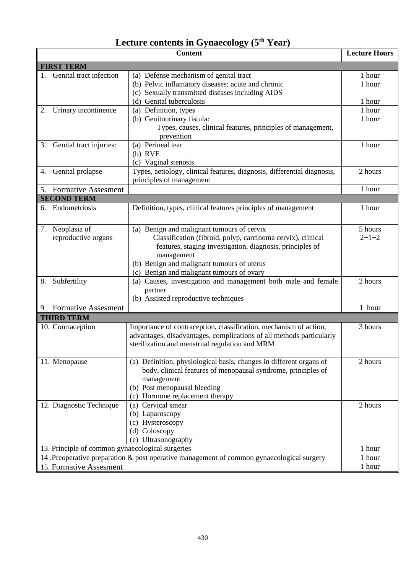# **Lecture contents in Gynaecology (5th Year)**

|                                                  |  | <b>Content</b>                                                                                                                                                                                                                                                                  | <b>Lecture Hours</b>       |
|--------------------------------------------------|--|---------------------------------------------------------------------------------------------------------------------------------------------------------------------------------------------------------------------------------------------------------------------------------|----------------------------|
| <b>FIRST TERM</b>                                |  |                                                                                                                                                                                                                                                                                 |                            |
| 1. Genital tract infection                       |  | (a) Defense mechanism of genital tract<br>(b) Pelvic inflamatory diseases: acute and chronic<br>(c) Sexually transmitted diseases including AIDS<br>(d) Genital tuberculosis                                                                                                    | 1 hour<br>1 hour<br>1 hour |
| Urinary incontinence<br>2.                       |  | $\overline{(a)}$ Definition, types<br>(b) Genitourinary fistula:<br>Types, causes, clinical features, principles of management,<br>prevention                                                                                                                                   | 1 hour<br>1 hour           |
| Genital tract injuries:<br>3.                    |  | (a) Perineal tear<br>$(b)$ RVF<br>(c) Vaginal stenosis                                                                                                                                                                                                                          | 1 hour                     |
| Genital prolapse<br>4.                           |  | Types, aetiology, clinical features, diagnosis, differential diagnosis,<br>principles of management                                                                                                                                                                             | 2 hours                    |
| <b>Formative Assesment</b><br>5.                 |  |                                                                                                                                                                                                                                                                                 | 1 hour                     |
| <b>SECOND TERM</b>                               |  |                                                                                                                                                                                                                                                                                 |                            |
| 6. Endometriosis                                 |  | Definition, types, clinical features principles of management                                                                                                                                                                                                                   | 1 hour                     |
| Neoplasia of<br>7.<br>reproductive organs        |  | (a) Benign and malignant tumours of cervix<br>Classification (fibroid, polyp, carcinoma cervix), clinical<br>features, staging investigation, diagnosis, principles of<br>management<br>(b) Benign and malignant tumours of uterus<br>(c) Benign and malignant tumours of ovary | 5 hours<br>$2 + 1 + 2$     |
| Subfertility<br>8.                               |  | (a) Causes, investigation and management both male and female<br>partner<br>(b) Assisted reproductive techniques                                                                                                                                                                | 2 hours                    |
| 9. Formative Assesment                           |  |                                                                                                                                                                                                                                                                                 | 1 hour                     |
| <b>THIRD TERM</b>                                |  |                                                                                                                                                                                                                                                                                 |                            |
| 10. Contraception                                |  | Importance of contraception, classification, mechanism of action,<br>advantages, disadvantages, complications of all methods particularly<br>sterilization and menstrual regulation and MRM                                                                                     | 3 hours                    |
| 11. Menopause                                    |  | (a) Definition, physiological basis, changes in different organs of<br>body, clinical features of menopausal syndrome, principles of<br>management<br>(b) Post menopausal bleeding<br>Hormone replacement therapy<br>(c)                                                        | 2 hours                    |
| 12. Diagnostic Technique                         |  | Cervical smear<br>(a)<br>(b) Laparoscopy<br>(c) Hysteroscopy<br>(d) Coloscopy<br>(e) Ultrasonography                                                                                                                                                                            | 2 hours                    |
| 13. Principle of common gynaecological surgeries |  | 1 hour                                                                                                                                                                                                                                                                          |                            |
|                                                  |  | 14 .Preoperative preparation & post operative management of common gynaecological surgery                                                                                                                                                                                       | 1 hour                     |
| 15. Formative Assesment                          |  |                                                                                                                                                                                                                                                                                 | 1 hour                     |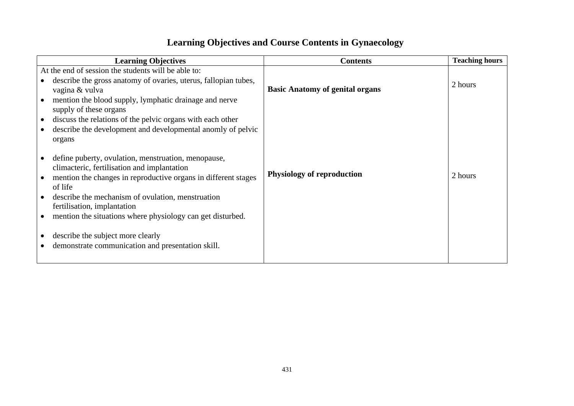# **Learning Objectives and Course Contents in Gynaecology**

| <b>Learning Objectives</b>                                                                                                                                                                                                                                                                                                                                                                                                  | <b>Contents</b>                        | <b>Teaching hours</b> |
|-----------------------------------------------------------------------------------------------------------------------------------------------------------------------------------------------------------------------------------------------------------------------------------------------------------------------------------------------------------------------------------------------------------------------------|----------------------------------------|-----------------------|
| At the end of session the students will be able to:<br>describe the gross anatomy of ovaries, uterus, fallopian tubes,<br>vagina & vulva<br>mention the blood supply, lymphatic drainage and nerve<br>supply of these organs<br>discuss the relations of the pelvic organs with each other<br>$\bullet$<br>describe the development and developmental anomly of pelvic<br>organs                                            | <b>Basic Anatomy of genital organs</b> | 2 hours               |
| define puberty, ovulation, menstruation, menopause,<br>climacteric, fertilisation and implantation<br>mention the changes in reproductive organs in different stages<br>of life<br>describe the mechanism of ovulation, menstruation<br>fertilisation, implantation<br>mention the situations where physiology can get disturbed.<br>describe the subject more clearly<br>demonstrate communication and presentation skill. | <b>Physiology of reproduction</b>      | 2 hours               |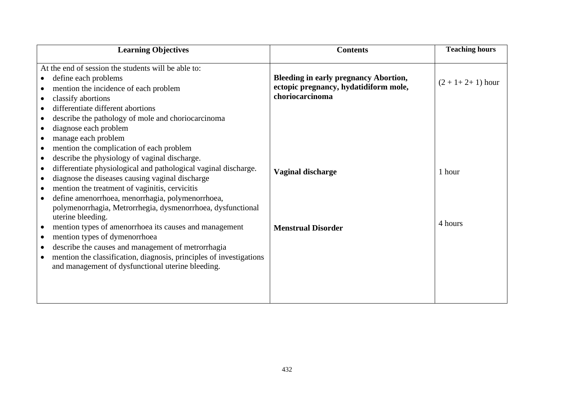| <b>Learning Objectives</b>                                                       | <b>Contents</b>                              | <b>Teaching hours</b>  |
|----------------------------------------------------------------------------------|----------------------------------------------|------------------------|
| At the end of session the students will be able to:                              |                                              |                        |
| define each problems<br>$\bullet$                                                | <b>Bleeding in early pregnancy Abortion,</b> | $(2 + 1 + 2 + 1)$ hour |
| mention the incidence of each problem                                            | ectopic pregnancy, hydatidiform mole,        |                        |
| classify abortions                                                               | choriocarcinoma                              |                        |
| differentiate different abortions                                                |                                              |                        |
| describe the pathology of mole and choriocarcinoma                               |                                              |                        |
| diagnose each problem<br>$\bullet$                                               |                                              |                        |
| manage each problem<br>$\bullet$                                                 |                                              |                        |
| mention the complication of each problem<br>$\bullet$                            |                                              |                        |
| describe the physiology of vaginal discharge.<br>$\bullet$                       |                                              |                        |
| differentiate physiological and pathological vaginal discharge.<br>$\bullet$     | <b>Vaginal discharge</b>                     | 1 hour                 |
| diagnose the diseases causing vaginal discharge<br>$\bullet$                     |                                              |                        |
| mention the treatment of vaginitis, cervicitis<br>$\bullet$                      |                                              |                        |
| define amenorrhoea, menorrhagia, polymenorrhoea,<br>$\bullet$                    |                                              |                        |
| polymenorrhagia, Metrorrhegia, dysmenorrhoea, dysfunctional                      |                                              |                        |
| uterine bleeding.                                                                |                                              | 4 hours                |
| mention types of amenorrhoea its causes and management<br>$\bullet$              | <b>Menstrual Disorder</b>                    |                        |
| mention types of dymenorrhoea<br>$\bullet$                                       |                                              |                        |
| describe the causes and management of metrorrhagia<br>$\bullet$                  |                                              |                        |
| mention the classification, diagnosis, principles of investigations<br>$\bullet$ |                                              |                        |
| and management of dysfunctional uterine bleeding.                                |                                              |                        |
|                                                                                  |                                              |                        |
|                                                                                  |                                              |                        |
|                                                                                  |                                              |                        |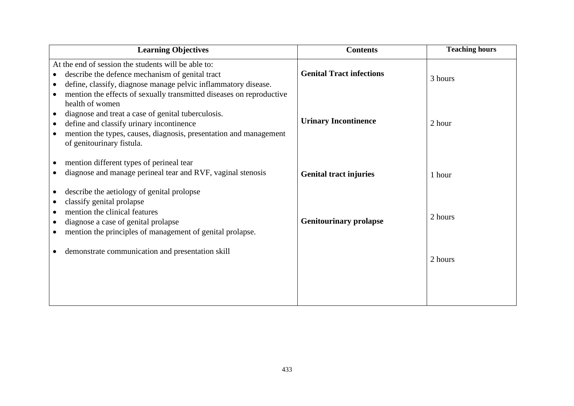| <b>Learning Objectives</b>                                                                                                                                                                                                                                    | <b>Contents</b>                 | <b>Teaching hours</b> |
|---------------------------------------------------------------------------------------------------------------------------------------------------------------------------------------------------------------------------------------------------------------|---------------------------------|-----------------------|
| At the end of session the students will be able to:<br>describe the defence mechanism of genital tract<br>define, classify, diagnose manage pelvic inflammatory disease.<br>mention the effects of sexually transmitted diseases on reproductive<br>$\bullet$ | <b>Genital Tract infections</b> | 3 hours               |
| health of women<br>diagnose and treat a case of genital tuberculosis.<br>define and classify urinary incontinence<br>mention the types, causes, diagnosis, presentation and management<br>of genitourinary fistula.                                           | <b>Urinary Incontinence</b>     | 2 hour                |
| mention different types of perineal tear<br>diagnose and manage perineal tear and RVF, vaginal stenosis                                                                                                                                                       | <b>Genital tract injuries</b>   | 1 hour                |
| describe the aetiology of genital prolopse<br>classify genital prolapse<br>mention the clinical features<br>diagnose a case of genital prolapse<br>mention the principles of management of genital prolapse.                                                  | <b>Genitourinary prolapse</b>   | 2 hours               |
| demonstrate communication and presentation skill                                                                                                                                                                                                              |                                 | 2 hours               |
|                                                                                                                                                                                                                                                               |                                 |                       |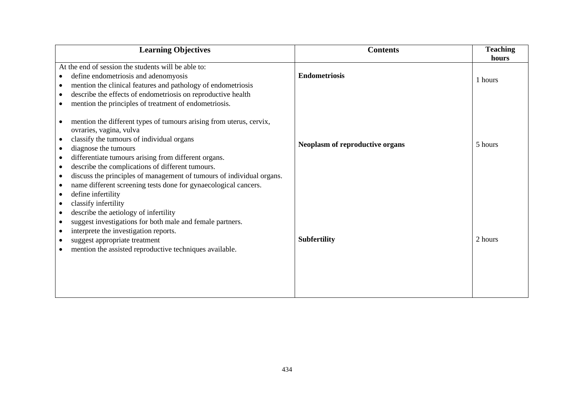| <b>Learning Objectives</b>                                                                                                                                                                                                                                                                                                                                                                                                                                         | <b>Contents</b>                        | <b>Teaching</b><br>hours |
|--------------------------------------------------------------------------------------------------------------------------------------------------------------------------------------------------------------------------------------------------------------------------------------------------------------------------------------------------------------------------------------------------------------------------------------------------------------------|----------------------------------------|--------------------------|
| At the end of session the students will be able to:<br>define endometriosis and adenomyosis<br>$\bullet$<br>mention the clinical features and pathology of endometriosis<br>$\bullet$<br>describe the effects of endometriosis on reproductive health<br>mention the principles of treatment of endometriosis.                                                                                                                                                     | <b>Endometriosis</b>                   | 1 hours                  |
| mention the different types of tumours arising from uterus, cervix,<br>ovraries, vagina, vulva<br>classify the tumours of individual organs<br>diagnose the tumours<br>differentiate tumours arising from different organs.<br>$\bullet$<br>describe the complications of different tumours.<br>$\bullet$<br>discuss the principles of management of tumours of individual organs.<br>$\bullet$<br>name different screening tests done for gynaecological cancers. | <b>Neoplasm of reproductive organs</b> | 5 hours                  |
| define infertility<br>$\bullet$<br>classify infertility<br>$\bullet$<br>describe the aetiology of infertility<br>$\bullet$<br>suggest investigations for both male and female partners.<br>interprete the investigation reports.<br>suggest appropriate treatment<br>mention the assisted reproductive techniques available.                                                                                                                                       | <b>Subfertility</b>                    | 2 hours                  |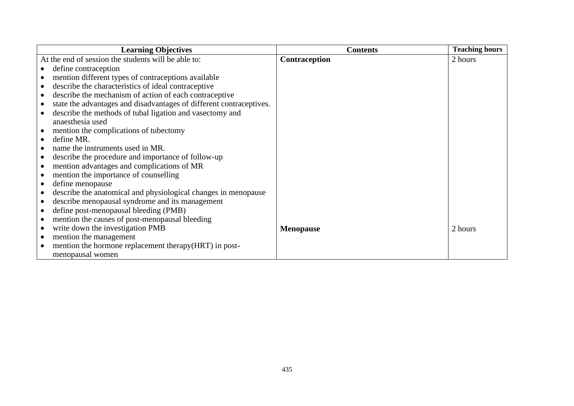| <b>Learning Objectives</b>                                                       | <b>Contents</b>  | <b>Teaching hours</b> |
|----------------------------------------------------------------------------------|------------------|-----------------------|
| At the end of session the students will be able to:                              | Contraception    | 2 hours               |
| define contraception                                                             |                  |                       |
| mention different types of contraceptions available                              |                  |                       |
| describe the characteristics of ideal contraceptive<br>$\bullet$                 |                  |                       |
| describe the mechanism of action of each contraceptive<br>$\bullet$              |                  |                       |
| state the advantages and disadvantages of different contraceptives.<br>$\bullet$ |                  |                       |
| describe the methods of tubal ligation and vasectomy and                         |                  |                       |
| anaesthesia used                                                                 |                  |                       |
| mention the complications of tubectomy<br>$\bullet$                              |                  |                       |
| define MR.<br>$\bullet$                                                          |                  |                       |
| name the instruments used in MR.                                                 |                  |                       |
| describe the procedure and importance of follow-up                               |                  |                       |
| mention advantages and complications of MR                                       |                  |                       |
| mention the importance of counselling                                            |                  |                       |
| define menopause                                                                 |                  |                       |
| describe the anatomical and physiological changes in menopause                   |                  |                       |
| describe menopausal syndrome and its management<br>$\bullet$                     |                  |                       |
| define post-menopausal bleeding (PMB)                                            |                  |                       |
| mention the causes of post-menopausal bleeding<br>$\bullet$                      |                  |                       |
| write down the investigation PMB<br>$\bullet$                                    | <b>Menopause</b> | 2 hours               |
| mention the management<br>$\bullet$                                              |                  |                       |
| mention the hormone replacement therapy (HRT) in post-                           |                  |                       |
| menopausal women                                                                 |                  |                       |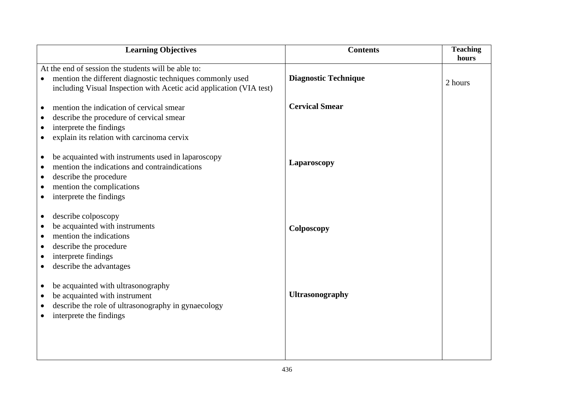|                                                  | <b>Learning Objectives</b>                                                                                                                                                            | <b>Contents</b>             | <b>Teaching</b><br>hours |
|--------------------------------------------------|---------------------------------------------------------------------------------------------------------------------------------------------------------------------------------------|-----------------------------|--------------------------|
|                                                  | At the end of session the students will be able to:                                                                                                                                   |                             |                          |
| $\bullet$                                        | mention the different diagnostic techniques commonly used<br>including Visual Inspection with Acetic acid application (VIA test)                                                      | <b>Diagnostic Technique</b> | 2 hours                  |
|                                                  | mention the indication of cervical smear                                                                                                                                              | <b>Cervical Smear</b>       |                          |
| $\bullet$                                        | describe the procedure of cervical smear                                                                                                                                              |                             |                          |
|                                                  | interprete the findings                                                                                                                                                               |                             |                          |
|                                                  | explain its relation with carcinoma cervix                                                                                                                                            |                             |                          |
| $\bullet$<br>$\bullet$<br>$\bullet$              | be acquainted with instruments used in laparoscopy<br>mention the indications and contraindications<br>describe the procedure<br>mention the complications<br>interprete the findings | Laparoscopy                 |                          |
| $\bullet$<br>$\bullet$<br>$\bullet$<br>$\bullet$ | describe colposcopy<br>be acquainted with instruments<br>mention the indications<br>describe the procedure<br>interprete findings<br>describe the advantages                          | Colposcopy                  |                          |
| $\bullet$<br>$\bullet$<br>$\bullet$              | be acquainted with ultrasonography<br>be acquainted with instrument<br>describe the role of ultrasonography in gynaecology<br>interprete the findings                                 | <b>Ultrasonography</b>      |                          |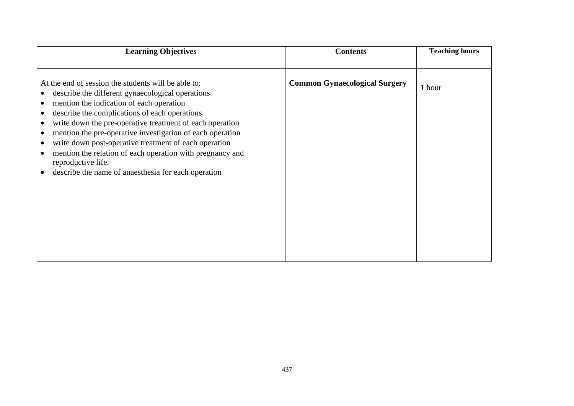| <b>Learning Objectives</b>                                                                                                                                                                                                                                                                                                                                                                                                                                                                                                                                              | <b>Contents</b>                      | <b>Teaching hours</b> |
|-------------------------------------------------------------------------------------------------------------------------------------------------------------------------------------------------------------------------------------------------------------------------------------------------------------------------------------------------------------------------------------------------------------------------------------------------------------------------------------------------------------------------------------------------------------------------|--------------------------------------|-----------------------|
| At the end of session the students will be able to:<br>describe the different gynaecological operations<br>mention the indication of each operation<br>$\bullet$<br>describe the complications of each operations<br>write down the pre-operative treatment of each operation<br>mention the pre-operative investigation of each operation<br>$\bullet$<br>write down post-operative treatment of each operation<br>$\bullet$<br>mention the relation of each operation with pregnancy and<br>reproductive life.<br>describe the name of anaesthesia for each operation | <b>Common Gynaecological Surgery</b> | 1 hour                |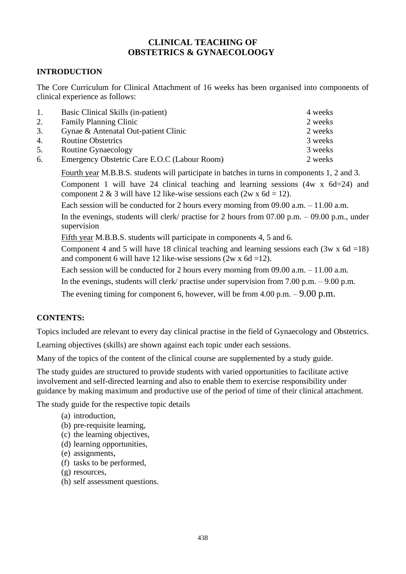# **CLINICAL TEACHING OF OBSTETRICS & GYNAECOLOOGY**

# **INTRODUCTION**

The Core Curriculum for Clinical Attachment of 16 weeks has been organised into components of clinical experience as follows:

| Basic Clinical Skills (in-patient)           | 4 weeks |
|----------------------------------------------|---------|
| <b>Family Planning Clinic</b>                | 2 weeks |
| Gynae & Antenatal Out-patient Clinic         | 2 weeks |
| <b>Routine Obstetrics</b>                    | 3 weeks |
| Routine Gynaecology                          | 3 weeks |
| Emergency Obstetric Care E.O.C (Labour Room) | 2 weeks |
|                                              |         |

Fourth year M.B.B.S. students will participate in batches in turns in components 1, 2 and 3. Component 1 will have 24 clinical teaching and learning sessions (4w x 6d=24) and component 2 & 3 will have 12 like-wise sessions each (2w x  $6d = 12$ ).

Each session will be conducted for 2 hours every morning from 09.00 a.m. – 11.00 a.m.

In the evenings, students will clerk/ practise for 2 hours from  $07.00$  p.m.  $-09.00$  p.m., under supervision

Fifth year M.B.B.S. students will participate in components 4, 5 and 6.

Component 4 and 5 will have 18 clinical teaching and learning sessions each  $(3w \times 6d = 18)$ and component 6 will have 12 like-wise sessions  $(2w \times 6d = 12)$ .

Each session will be conducted for 2 hours every morning from 09.00 a.m. – 11.00 a.m.

In the evenings, students will clerk/ practise under supervision from 7.00 p.m. – 9.00 p.m.

The evening timing for component 6, however, will be from  $4.00$  p.m.  $-9.00$  p.m.

## **CONTENTS:**

Topics included are relevant to every day clinical practise in the field of Gynaecology and Obstetrics.

Learning objectives (skills) are shown against each topic under each sessions.

Many of the topics of the content of the clinical course are supplemented by a study guide.

The study guides are structured to provide students with varied opportunities to facilitate active involvement and self-directed learning and also to enable them to exercise responsibility under guidance by making maximum and productive use of the period of time of their clinical attachment.

The study guide for the respective topic details

- (a) introduction,
- (b) pre-requisite learning,
- (c) the learning objectives,
- (d) learning opportunities,
- (e) assignments,
- (f) tasks to be performed,
- (g) resources,
- (h) self assessment questions.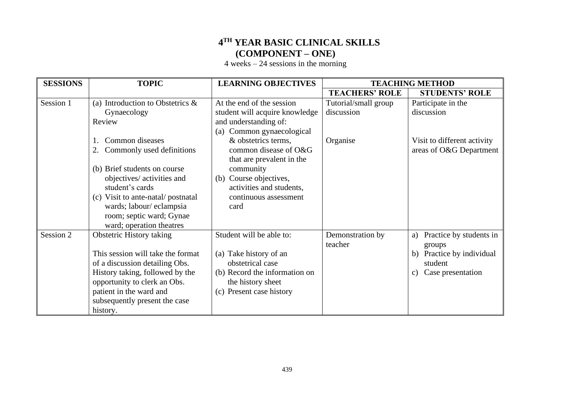# **4 TH YEAR BASIC CLINICAL SKILLS (COMPONENT – ONE)**

4 weeks – 24 sessions in the morning

| <b>SESSIONS</b> | <b>TOPIC</b>                                                                                                                                                                                                                                      | <b>LEARNING OBJECTIVES</b>                                                                                                                               | <b>TEACHING METHOD</b>             |                                                                                                                            |
|-----------------|---------------------------------------------------------------------------------------------------------------------------------------------------------------------------------------------------------------------------------------------------|----------------------------------------------------------------------------------------------------------------------------------------------------------|------------------------------------|----------------------------------------------------------------------------------------------------------------------------|
|                 |                                                                                                                                                                                                                                                   |                                                                                                                                                          | <b>TEACHERS' ROLE</b>              | <b>STUDENTS' ROLE</b>                                                                                                      |
| Session 1       | (a) Introduction to Obstetrics $\&$<br>Gynaecology<br>Review                                                                                                                                                                                      | At the end of the session<br>student will acquire knowledge<br>and understanding of:                                                                     | Tutorial/small group<br>discussion | Participate in the<br>discussion                                                                                           |
|                 | Common diseases<br>$\mathbf{1}$<br>Commonly used definitions<br>(b) Brief students on course                                                                                                                                                      | Common gynaecological<br>(a)<br>& obstetrics terms,<br>common disease of O&G<br>that are prevalent in the<br>community                                   | Organise                           | Visit to different activity<br>areas of O&G Department                                                                     |
|                 | objectives/ activities and<br>student's cards<br>(c) Visit to ante-natal/postnatal<br>wards; labour/eclampsia<br>room; septic ward; Gynae<br>ward; operation theatres                                                                             | (b) Course objectives,<br>activities and students,<br>continuous assessment<br>card                                                                      |                                    |                                                                                                                            |
| Session 2       | <b>Obstetric History taking</b><br>This session will take the format<br>of a discussion detailing Obs.<br>History taking, followed by the<br>opportunity to clerk an Obs.<br>patient in the ward and<br>subsequently present the case<br>history. | Student will be able to:<br>(a) Take history of an<br>obstetrical case<br>(b) Record the information on<br>the history sheet<br>(c) Present case history | Demonstration by<br>teacher        | Practice by students in<br>a)<br>groups<br>Practice by individual<br>b)<br>student<br>Case presentation<br>$\mathcal{C}$ ) |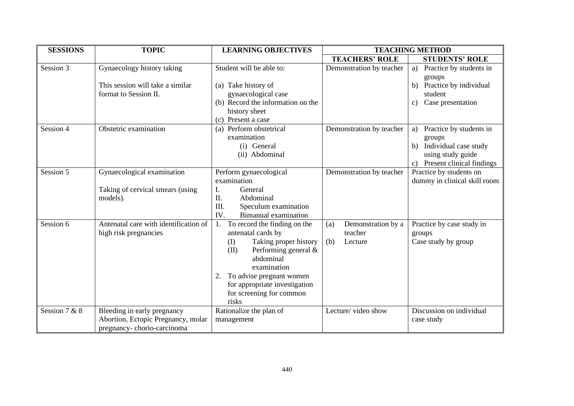| <b>SESSIONS</b> | <b>TOPIC</b>                                                                                    | <b>LEARNING OBJECTIVES</b>                                                                                                                                                                                                                                   | <b>TEACHING METHOD</b>                                 |                                                                                                                       |
|-----------------|-------------------------------------------------------------------------------------------------|--------------------------------------------------------------------------------------------------------------------------------------------------------------------------------------------------------------------------------------------------------------|--------------------------------------------------------|-----------------------------------------------------------------------------------------------------------------------|
|                 |                                                                                                 |                                                                                                                                                                                                                                                              | <b>TEACHERS' ROLE</b>                                  | <b>STUDENTS' ROLE</b>                                                                                                 |
| Session 3       | Gynaecology history taking<br>This session will take a similar<br>format to Session II.         | Student will be able to:<br>(a) Take history of<br>gynaecological case<br>(b) Record the information on the<br>history sheet<br>(c) Present a case                                                                                                           | Demonstration by teacher                               | Practice by students in<br>a)<br>groups<br>b) Practice by individual<br>student<br>Case presentation<br>C)            |
| Session 4       | Obstetric examination                                                                           | (a) Perform obstetrical<br>examination<br>(i) General<br>(ii) Abdominal                                                                                                                                                                                      | Demonstration by teacher                               | Practice by students in<br>a)<br>groups<br>Individual case study<br>using study guide<br>c) Present clinical findings |
| Session 5       | Gynaecological examination<br>Taking of cervical smears (using<br>models).                      | Perform gynaecological<br>examination<br>I.<br>General<br>II.<br>Abdominal<br>III.<br>Speculum examination<br>IV.<br>Bimanual examination                                                                                                                    | Demonstration by teacher                               | Practice by students on<br>dummy in clinical skill room                                                               |
| Session 6       | Antenatal care with identification of<br>high risk pregnancies                                  | 1. To record the finding on the<br>antenatal cards by<br>Taking proper history<br>(I)<br>Performing general $\&$<br>(II)<br>abdominal<br>examination<br>To advise pregnant women<br>2.<br>for appropriate investigation<br>for screening for common<br>risks | Demonstration by a<br>(a)<br>teacher<br>(b)<br>Lecture | Practice by case study in<br>groups<br>Case study by group                                                            |
| Session 7 & 8   | Bleeding in early pregnancy<br>Abortion, Ectopic Pregnancy, molar<br>pregnancy-chorio-carcinoma | Rationalize the plan of<br>management                                                                                                                                                                                                                        | Lecture/video show                                     | Discussion on individual<br>case study                                                                                |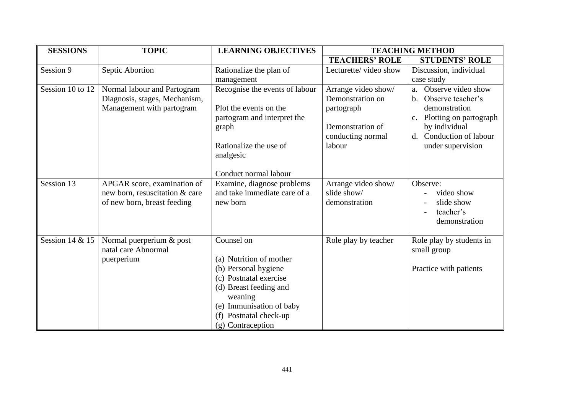| <b>SESSIONS</b>  | <b>TOPIC</b>                                                                                 | <b>LEARNING OBJECTIVES</b>                                                                                                                                                                              | <b>TEACHING METHOD</b>                                                                                   |                                                                                                                                                                                     |
|------------------|----------------------------------------------------------------------------------------------|---------------------------------------------------------------------------------------------------------------------------------------------------------------------------------------------------------|----------------------------------------------------------------------------------------------------------|-------------------------------------------------------------------------------------------------------------------------------------------------------------------------------------|
|                  |                                                                                              |                                                                                                                                                                                                         | <b>TEACHERS' ROLE</b>                                                                                    | <b>STUDENTS' ROLE</b>                                                                                                                                                               |
| Session 9        | Septic Abortion                                                                              | Rationalize the plan of                                                                                                                                                                                 | Lecturette/video show                                                                                    | Discussion, individual                                                                                                                                                              |
|                  |                                                                                              | management                                                                                                                                                                                              |                                                                                                          | case study                                                                                                                                                                          |
| Session 10 to 12 | Normal labour and Partogram<br>Diagnosis, stages, Mechanism,<br>Management with partogram    | Recognise the events of labour<br>Plot the events on the<br>partogram and interpret the<br>graph<br>Rationalize the use of<br>analgesic<br>Conduct normal labour                                        | Arrange video show/<br>Demonstration on<br>partograph<br>Demonstration of<br>conducting normal<br>labour | Observe video show<br>a.<br>Observe teacher's<br>b.<br>demonstration<br>Plotting on partograph<br>$C_{\bullet}$<br>by individual<br>Conduction of labour<br>d.<br>under supervision |
| Session 13       | APGAR score, examination of<br>new born, resuscitation & care<br>of new born, breast feeding | Examine, diagnose problems<br>and take immediate care of a<br>new born                                                                                                                                  | Arrange video show/<br>slide show/<br>demonstration                                                      | Observe:<br>video show<br>slide show<br>teacher's<br>demonstration                                                                                                                  |
| Session 14 & 15  | Normal puerperium & post<br>natal care Abnormal<br>puerperium                                | Counsel on<br>(a) Nutrition of mother<br>(b) Personal hygiene<br>(c) Postnatal exercise<br>(d) Breast feeding and<br>weaning<br>(e) Immunisation of baby<br>(f) Postnatal check-up<br>(g) Contraception | Role play by teacher                                                                                     | Role play by students in<br>small group<br>Practice with patients                                                                                                                   |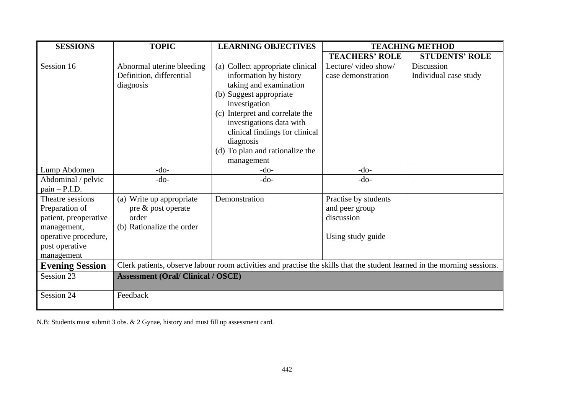| <b>SESSIONS</b>                                                                                                                                    | <b>TOPIC</b>                                                                         | <b>LEARNING OBJECTIVES</b><br><b>TEACHING METHOD</b>                                                                                                                                                                                                                                            |                                                                           |                                     |
|----------------------------------------------------------------------------------------------------------------------------------------------------|--------------------------------------------------------------------------------------|-------------------------------------------------------------------------------------------------------------------------------------------------------------------------------------------------------------------------------------------------------------------------------------------------|---------------------------------------------------------------------------|-------------------------------------|
|                                                                                                                                                    |                                                                                      |                                                                                                                                                                                                                                                                                                 | <b>TEACHERS' ROLE</b>                                                     | <b>STUDENTS' ROLE</b>               |
| Session 16                                                                                                                                         | Abnormal uterine bleeding<br>Definition, differential<br>diagnosis                   | (a) Collect appropriate clinical<br>information by history<br>taking and examination<br>(b) Suggest appropriate<br>investigation<br>(c) Interpret and correlate the<br>investigations data with<br>clinical findings for clinical<br>diagnosis<br>(d) To plan and rationalize the<br>management | Lecture/video show/<br>case demonstration                                 | Discussion<br>Individual case study |
| Lump Abdomen                                                                                                                                       | $-do-$                                                                               | $-do-$                                                                                                                                                                                                                                                                                          | $-do-$                                                                    |                                     |
| Abdominal / pelvic<br>$pain - P.I.D.$                                                                                                              | $-do-$                                                                               | $-do-$                                                                                                                                                                                                                                                                                          | $-do-$                                                                    |                                     |
| Theatre sessions<br>Preparation of<br>patient, preoperative<br>management,<br>operative procedure,<br>post operative<br>management                 | (a) Write up appropriate<br>pre & post operate<br>order<br>(b) Rationalize the order | Demonstration                                                                                                                                                                                                                                                                                   | Practise by students<br>and peer group<br>discussion<br>Using study guide |                                     |
| Clerk patients, observe labour room activities and practise the skills that the student learned in the morning sessions.<br><b>Evening Session</b> |                                                                                      |                                                                                                                                                                                                                                                                                                 |                                                                           |                                     |
| Session 23                                                                                                                                         | <b>Assessment (Oral/Clinical / OSCE)</b>                                             |                                                                                                                                                                                                                                                                                                 |                                                                           |                                     |
| Session 24                                                                                                                                         | Feedback                                                                             |                                                                                                                                                                                                                                                                                                 |                                                                           |                                     |

N.B: Students must submit 3 obs. & 2 Gynae, history and must fill up assessment card.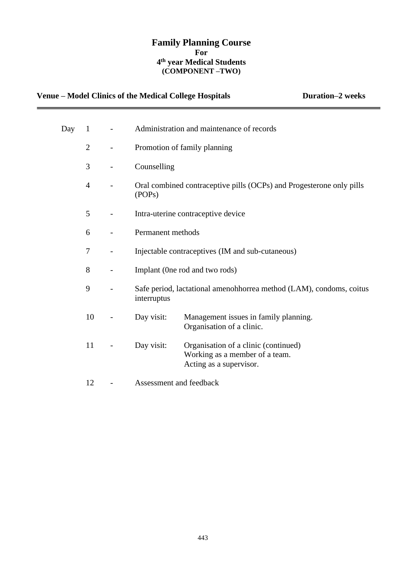## **Family Planning Course For 4 th year Medical Students (COMPONENT –TWO)**

# Venue – Model Clinics of the Medical College Hospitals **Duration–2 weeks**

| Day | $\mathbf{1}$   |                          | Administration and maintenance of records        |                                                                                                   |  |
|-----|----------------|--------------------------|--------------------------------------------------|---------------------------------------------------------------------------------------------------|--|
|     | $\overline{2}$ |                          | Promotion of family planning                     |                                                                                                   |  |
|     | 3              | $\overline{\phantom{0}}$ | Counselling                                      |                                                                                                   |  |
|     | $\overline{4}$ |                          | (POP <sub>s</sub> )                              | Oral combined contraceptive pills (OCPs) and Progesterone only pills                              |  |
|     | 5              |                          |                                                  | Intra-uterine contraceptive device                                                                |  |
|     | 6              |                          | Permanent methods                                |                                                                                                   |  |
|     | 7              |                          | Injectable contraceptives (IM and sub-cutaneous) |                                                                                                   |  |
|     | 8              |                          |                                                  | Implant (One rod and two rods)                                                                    |  |
|     | 9              |                          | interruptus                                      | Safe period, lactational amenohhorrea method (LAM), condoms, coitus                               |  |
|     | 10             |                          | Day visit:                                       | Management issues in family planning.<br>Organisation of a clinic.                                |  |
|     | 11             |                          | Day visit:                                       | Organisation of a clinic (continued)<br>Working as a member of a team.<br>Acting as a supervisor. |  |
|     | 12             |                          | Assessment and feedback                          |                                                                                                   |  |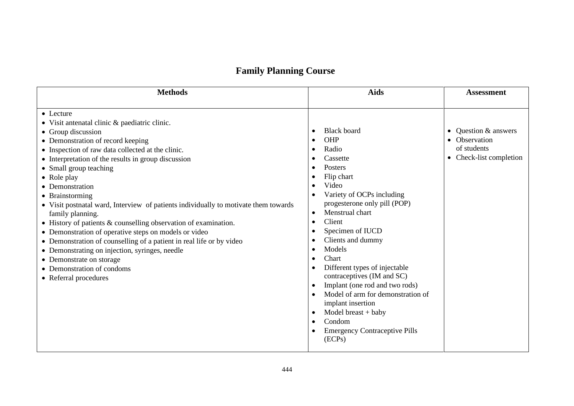# **Family Planning Course**

| <b>Methods</b>                                                                                                                                                                                                                                                                                                                                                                                                                                                                                                                                                                                                                                                                                                                                                       | <b>Aids</b>                                                                                                                                                                                                                                                                                                                                                                                                                                                                                                                   | <b>Assessment</b>                                                                          |
|----------------------------------------------------------------------------------------------------------------------------------------------------------------------------------------------------------------------------------------------------------------------------------------------------------------------------------------------------------------------------------------------------------------------------------------------------------------------------------------------------------------------------------------------------------------------------------------------------------------------------------------------------------------------------------------------------------------------------------------------------------------------|-------------------------------------------------------------------------------------------------------------------------------------------------------------------------------------------------------------------------------------------------------------------------------------------------------------------------------------------------------------------------------------------------------------------------------------------------------------------------------------------------------------------------------|--------------------------------------------------------------------------------------------|
| • Lecture<br>• Visit antenatal clinic & paediatric clinic.<br>• Group discussion<br>• Demonstration of record keeping<br>• Inspection of raw data collected at the clinic.<br>• Interpretation of the results in group discussion<br>• Small group teaching<br>• Role play<br>• Demonstration<br>• Brainstorming<br>• Visit postnatal ward, Interview of patients individually to motivate them towards<br>family planning.<br>• History of patients & counselling observation of examination.<br>• Demonstration of operative steps on models or video<br>• Demonstration of counselling of a patient in real life or by video<br>• Demonstrating on injection, syringes, needle<br>• Demonstrate on storage<br>• Demonstration of condoms<br>• Referral procedures | <b>Black board</b><br>OHP<br>Radio<br>Cassette<br>Posters<br>Flip chart<br>Video<br>Variety of OCPs including<br>progesterone only pill (POP)<br>Menstrual chart<br>$\bullet$<br>Client<br>$\bullet$<br>Specimen of IUCD<br>Clients and dummy<br>Models<br>Chart<br>Different types of injectable<br>contraceptives (IM and SC)<br>Implant (one rod and two rods)<br>$\bullet$<br>Model of arm for demonstration of<br>implant insertion<br>Model breast $+$ baby<br>Condom<br><b>Emergency Contraceptive Pills</b><br>(ECPs) | Question & answers<br>$\bullet$<br>• Observation<br>of students<br>• Check-list completion |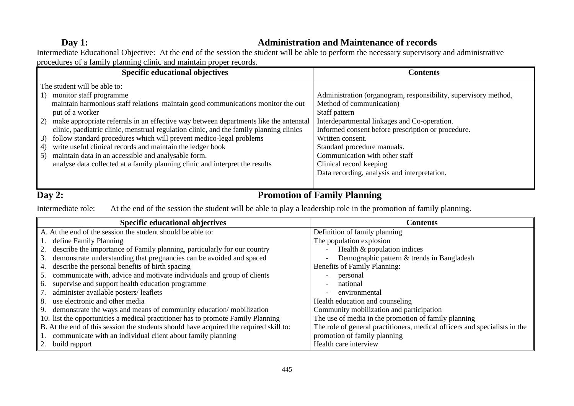# **Day 1: Administration and Maintenance of records**

Intermediate Educational Objective: At the end of the session the student will be able to perform the necessary supervisory and administrative procedures of a family planning clinic and maintain proper records.

| <b>Specific educational objectives</b>                                                   | <b>Contents</b>                                                 |
|------------------------------------------------------------------------------------------|-----------------------------------------------------------------|
| The student will be able to:                                                             |                                                                 |
| monitor staff programme<br>1)                                                            | Administration (organogram, responsibility, supervisory method, |
| maintain harmonious staff relations maintain good communications monitor the out         | Method of communication)                                        |
| put of a worker                                                                          | Staff pattern                                                   |
| 2) make appropriate referrals in an effective way between departments like the antenatal | Interdepartmental linkages and Co-operation.                    |
| clinic, paediatric clinic, menstrual regulation clinic, and the family planning clinics  | Informed consent before prescription or procedure.              |
| follow standard procedures which will prevent medico-legal problems<br>3)                | Written consent.                                                |
| write useful clinical records and maintain the ledger book<br>4)                         | Standard procedure manuals.                                     |
| maintain data in an accessible and analysable form.<br>5)                                | Communication with other staff                                  |
| analyse data collected at a family planning clinic and interpret the results             | Clinical record keeping                                         |
|                                                                                          | Data recording, analysis and interpretation.                    |
|                                                                                          |                                                                 |

# **Day 2: Promotion of Family Planning**

Intermediate role: At the end of the session the student will be able to play a leadership role in the promotion of family planning.

| <b>Specific educational objectives</b>                                                 | <b>Contents</b>                                                            |
|----------------------------------------------------------------------------------------|----------------------------------------------------------------------------|
| A. At the end of the session the student should be able to:                            | Definition of family planning                                              |
| 1. define Family Planning                                                              | The population explosion                                                   |
| 2. describe the importance of Family planning, particularly for our country            | Health & population indices                                                |
| demonstrate understanding that pregnancies can be avoided and spaced<br>3.             | Demographic pattern & trends in Bangladesh<br>$\overline{\phantom{a}}$     |
| describe the personal benefits of birth spacing<br>4.                                  | Benefits of Family Planning:                                               |
| communicate with, advice and motivate individuals and group of clients<br>5.           | personal                                                                   |
| supervise and support health education programme<br>6.                                 | national<br>$\overline{a}$                                                 |
| administer available posters/leaflets<br>7.                                            | environmental<br>$\overline{a}$                                            |
| use electronic and other media<br>8.                                                   | Health education and counseling                                            |
| 9. demonstrate the ways and means of community education/mobilization                  | Community mobilization and participation                                   |
| 10. list the opportunities a medical practitioner has to promote Family Planning       | The use of media in the promotion of family planning                       |
| B. At the end of this session the students should have acquired the required skill to: | The role of general practitioners, medical officers and specialists in the |
| communicate with an individual client about family planning                            | promotion of family planning                                               |
| 2. build rapport                                                                       | Health care interview                                                      |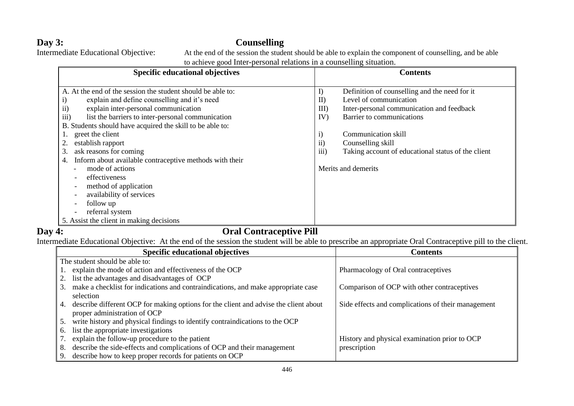**Day 3: Counselling**<br>Intermediate Educational Objective: At the end of the session the stude

At the end of the session the student should be able to explain the component of counselling, and be able to achieve good Inter-personal relations in a counselling situation.

| <b>Specific educational objectives</b>                        | <b>Contents</b>                                            |
|---------------------------------------------------------------|------------------------------------------------------------|
|                                                               |                                                            |
| A. At the end of the session the student should be able to:   | I)<br>Definition of counselling and the need for it        |
| explain and define counselling and it's need<br>$\rm i)$      | Level of communication<br>II                               |
| ii)<br>explain inter-personal communication                   | Inter-personal communication and feedback<br>III           |
| iii)<br>list the barriers to inter-personal communication     | Barrier to communications<br>IV)                           |
| B. Students should have acquired the skill to be able to:     |                                                            |
| greet the client                                              | $\mathbf{i}$<br>Communication skill                        |
| establish rapport                                             | $\rm ii)$<br>Counselling skill                             |
| ask reasons for coming<br>3.                                  | iii)<br>Taking account of educational status of the client |
| Inform about available contraceptive methods with their<br>4. |                                                            |
| mode of actions                                               | Merits and demerits                                        |
| effectiveness                                                 |                                                            |
| method of application                                         |                                                            |
| availability of services                                      |                                                            |
| follow up                                                     |                                                            |
| referral system                                               |                                                            |
| 5. Assist the client in making decisions                      |                                                            |

# **Day 4: Oral Contraceptive Pill**

Intermediate Educational Objective: At the end of the session the student will be able to prescribe an appropriate Oral Contraceptive pill to the client.

| <b>Specific educational objectives</b>                                                     | <b>Contents</b>                                    |
|--------------------------------------------------------------------------------------------|----------------------------------------------------|
| The student should be able to:                                                             |                                                    |
| explain the mode of action and effectiveness of the OCP                                    | Pharmacology of Oral contraceptives                |
| list the advantages and disadvantages of OCP                                               |                                                    |
| make a checklist for indications and contraindications, and make appropriate case<br>3.    | Comparison of OCP with other contraceptives        |
| selection                                                                                  |                                                    |
| describe different OCP for making options for the client and advise the client about<br>4. | Side effects and complications of their management |
| proper administration of OCP                                                               |                                                    |
| write history and physical findings to identify contraindications to the OCP<br>5.         |                                                    |
| list the appropriate investigations<br>6.                                                  |                                                    |
| explain the follow-up procedure to the patient                                             | History and physical examination prior to OCP      |
| describe the side-effects and complications of OCP and their management<br>8.              | prescription                                       |
| describe how to keep proper records for patients on OCP<br>9.                              |                                                    |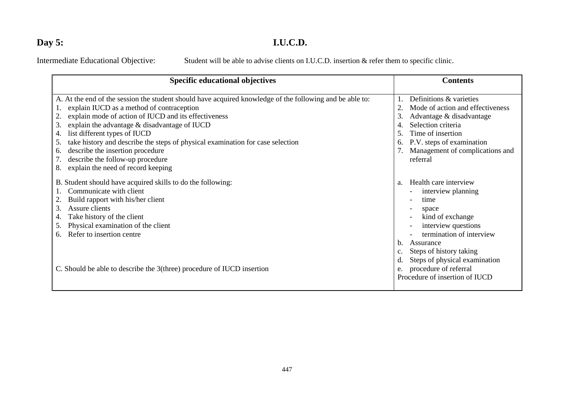# **Day 5: I.U.C.D.**

Intermediate Educational Objective: Student will be able to advise clients on I.U.C.D. insertion & refer them to specific clinic.

| <b>Specific educational objectives</b>                                                                                                                                                                                                                                                                                                                                                                                                                                                                                | <b>Contents</b>                                                                                                                                                                                                                                                                                                                         |
|-----------------------------------------------------------------------------------------------------------------------------------------------------------------------------------------------------------------------------------------------------------------------------------------------------------------------------------------------------------------------------------------------------------------------------------------------------------------------------------------------------------------------|-----------------------------------------------------------------------------------------------------------------------------------------------------------------------------------------------------------------------------------------------------------------------------------------------------------------------------------------|
| A. At the end of the session the student should have acquired knowledge of the following and be able to:<br>explain IUCD as a method of contraception<br>explain mode of action of IUCD and its effectiveness<br>explain the advantage & disadvantage of IUCD<br>3.<br>list different types of IUCD<br>take history and describe the steps of physical examination for case selection<br>5.<br>describe the insertion procedure<br>6.<br>describe the follow-up procedure<br>explain the need of record keeping<br>8. | Definitions & varieties<br>Mode of action and effectiveness<br>Advantage & disadvantage<br>3.<br>Selection criteria<br>Time of insertion<br>P.V. steps of examination<br>6.<br>Management of complications and<br>referral                                                                                                              |
| B. Student should have acquired skills to do the following:<br>Communicate with client<br>Build rapport with his/her client<br>Assure clients<br>3.<br>Take history of the client<br>4.<br>Physical examination of the client<br>5.<br>Refer to insertion centre<br>6.<br>C. Should be able to describe the 3(three) procedure of IUCD insertion                                                                                                                                                                      | Health care interview<br>a <sub>z</sub><br>interview planning<br>time<br>$\overline{\phantom{0}}$<br>space<br>kind of exchange<br>interview questions<br>termination of interview<br>Assurance<br>b.<br>Steps of history taking<br>Steps of physical examination<br>d.<br>procedure of referral<br>e.<br>Procedure of insertion of IUCD |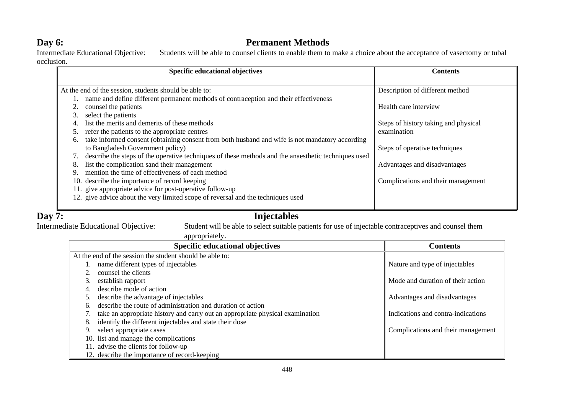**Day 6: Permanent Methods**<br>Intermediate Educational Objective: Students will be able to counsel clients to enable them to Students will be able to counsel clients to enable them to make a choice about the acceptance of vasectomy or tubal occlusion.

| Specific educational objectives                                                                      | <b>Contents</b>                      |
|------------------------------------------------------------------------------------------------------|--------------------------------------|
|                                                                                                      |                                      |
| At the end of the session, students should be able to:                                               | Description of different method      |
| name and define different permanent methods of contraception and their effectiveness                 |                                      |
| counsel the patients                                                                                 | Health care interview                |
| select the patients<br>3.                                                                            |                                      |
| list the merits and demerits of these methods                                                        | Steps of history taking and physical |
| refer the patients to the appropriate centres                                                        | examination                          |
| take informed consent (obtaining consent from both husband and wife is not mandatory according<br>6. |                                      |
| to Bangladesh Government policy)                                                                     | Steps of operative techniques        |
| describe the steps of the operative techniques of these methods and the anaesthetic techniques used  |                                      |
| list the complication sand their management<br>8.                                                    | Advantages and disadvantages         |
| mention the time of effectiveness of each method<br>9.                                               |                                      |
| 10. describe the importance of record keeping                                                        | Complications and their management   |
| 11. give appropriate advice for post-operative follow-up                                             |                                      |
| 12. give advice about the very limited scope of reversal and the techniques used                     |                                      |
|                                                                                                      |                                      |

# Student will be able to select suitable patients for use of injectable contraceptives and counsel them

**Day 7:** Injectables<br>Intermediate Educational Objective: Student will be able to select suitable p

#### appropriately.

|    | <b>Specific educational objectives</b>                                        | <b>Contents</b>                    |
|----|-------------------------------------------------------------------------------|------------------------------------|
|    | At the end of the session the student should be able to:                      |                                    |
|    | name different types of injectables                                           | Nature and type of injectables     |
|    | counsel the clients                                                           |                                    |
|    | establish rapport                                                             | Mode and duration of their action  |
|    | describe mode of action                                                       |                                    |
|    | describe the advantage of injectables                                         | Advantages and disadvantages       |
|    | describe the route of administration and duration of action                   |                                    |
|    | take an appropriate history and carry out an appropriate physical examination | Indications and contra-indications |
| 8. | identify the different injectables and state their dose                       |                                    |
| 9. | select appropriate cases                                                      | Complications and their management |
|    | 10. list and manage the complications                                         |                                    |
|    | 11. advise the clients for follow-up                                          |                                    |
|    | 12. describe the importance of record-keeping                                 |                                    |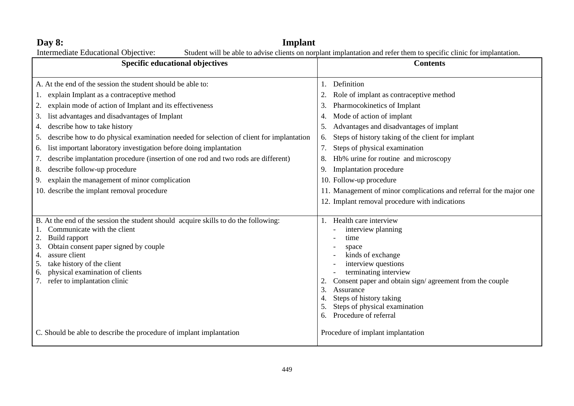| Implant<br>Day $8:$                                                                                                                                                                                                                                                                                                                                                                                                                                                                                                                                                                                                                                                                          |                                                                                                                                                                                                                                                                                                                                                                                                                                                                                                                           |  |  |  |
|----------------------------------------------------------------------------------------------------------------------------------------------------------------------------------------------------------------------------------------------------------------------------------------------------------------------------------------------------------------------------------------------------------------------------------------------------------------------------------------------------------------------------------------------------------------------------------------------------------------------------------------------------------------------------------------------|---------------------------------------------------------------------------------------------------------------------------------------------------------------------------------------------------------------------------------------------------------------------------------------------------------------------------------------------------------------------------------------------------------------------------------------------------------------------------------------------------------------------------|--|--|--|
| Student will be able to advise clients on norplant implantation and refer them to specific clinic for implantation.<br>Intermediate Educational Objective:                                                                                                                                                                                                                                                                                                                                                                                                                                                                                                                                   |                                                                                                                                                                                                                                                                                                                                                                                                                                                                                                                           |  |  |  |
| Specific educational objectives                                                                                                                                                                                                                                                                                                                                                                                                                                                                                                                                                                                                                                                              | <b>Contents</b>                                                                                                                                                                                                                                                                                                                                                                                                                                                                                                           |  |  |  |
| A. At the end of the session the student should be able to:<br>explain Implant as a contraceptive method<br>1.<br>explain mode of action of Implant and its effectiveness<br>2.<br>list advantages and disadvantages of Implant<br>3.<br>describe how to take history<br>4.<br>describe how to do physical examination needed for selection of client for implantation<br>5.<br>list important laboratory investigation before doing implantation<br>6.<br>describe implantation procedure (insertion of one rod and two rods are different)<br>7.<br>describe follow-up procedure<br>8.<br>explain the management of minor complication<br>9.<br>10. describe the implant removal procedure | Definition<br>Role of implant as contraceptive method<br>2.<br>Pharmocokinetics of Implant<br>3.<br>Mode of action of implant<br>4.<br>Advantages and disadvantages of implant<br>5.<br>Steps of history taking of the client for implant<br>6.<br>Steps of physical examination<br>7.<br>Hb% urine for routine and microscopy<br>8.<br>Implantation procedure<br>9.<br>10. Follow-up procedure<br>11. Management of minor complications and referral for the major one<br>12. Implant removal procedure with indications |  |  |  |
| B. At the end of the session the student should acquire skills to do the following:<br>Communicate with the client<br>Build rapport<br>Obtain consent paper signed by couple<br>3.<br>assure client<br>4.<br>take history of the client<br>5.<br>physical examination of clients<br>6.<br>refer to implantation clinic                                                                                                                                                                                                                                                                                                                                                                       | 1. Health care interview<br>interview planning<br>time<br>space<br>kinds of exchange<br>interview questions<br>terminating interview<br>Consent paper and obtain sign/agreement from the couple<br>2.<br>Assurance<br>3.<br>Steps of history taking<br>4.<br>Steps of physical examination<br>5.<br>Procedure of referral<br>6.                                                                                                                                                                                           |  |  |  |
| C. Should be able to describe the procedure of implant implantation                                                                                                                                                                                                                                                                                                                                                                                                                                                                                                                                                                                                                          | Procedure of implant implantation                                                                                                                                                                                                                                                                                                                                                                                                                                                                                         |  |  |  |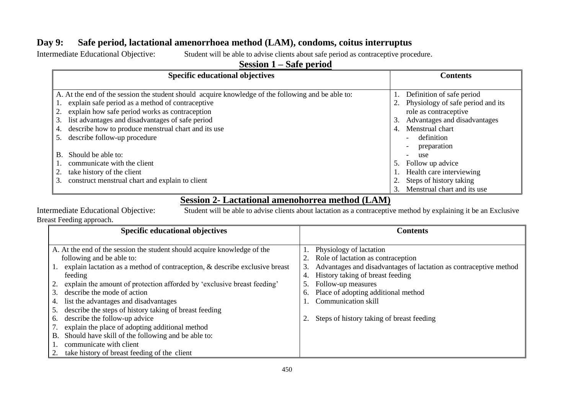# **Day 9: Safe period, lactational amenorrhoea method (LAM), condoms, coitus interruptus**

Intermediate Educational Objective: Student will be able to advise clients about safe period as contraceptive procedure.

# **Session 1 – Safe period**

| <b>Specific educational objectives</b>                                                             | <b>Contents</b>                         |  |
|----------------------------------------------------------------------------------------------------|-----------------------------------------|--|
|                                                                                                    |                                         |  |
| A. At the end of the session the student should acquire knowledge of the following and be able to: | Definition of safe period               |  |
| explain safe period as a method of contraceptive                                                   | 2. Physiology of safe period and its    |  |
| explain how safe period works as contraception<br>2.                                               | role as contraceptive                   |  |
| list advantages and disadvantages of safe period<br>3.                                             | Advantages and disadvantages<br>3.      |  |
| describe how to produce menstrual chart and its use<br>4.                                          | Menstrual chart<br>4.                   |  |
| describe follow-up procedure                                                                       | definition<br>$\overline{\phantom{a}}$  |  |
|                                                                                                    | preparation<br>$\overline{\phantom{a}}$ |  |
| Should be able to:<br><b>B.</b>                                                                    | use                                     |  |
| communicate with the client                                                                        | 5. Follow up advice                     |  |
| take history of the client                                                                         | 1. Health care interviewing             |  |
| construct menstrual chart and explain to client<br>3.                                              | Steps of history taking                 |  |
|                                                                                                    | Menstrual chart and its use             |  |

# **Session 2- Lactational amenohorrea method (LAM)**

Breast Feeding approach.

Intermediate Educational Objective: Student will be able to advise clients about lactation as a contraceptive method by explaining it be an Exclusive  $\overline{\phantom{0}}$ 

| <b>Specific educational objectives</b>                                         | <b>Contents</b>                                                   |  |  |
|--------------------------------------------------------------------------------|-------------------------------------------------------------------|--|--|
|                                                                                |                                                                   |  |  |
| A. At the end of the session the student should acquire knowledge of the       | Physiology of lactation                                           |  |  |
| following and be able to:                                                      | 2. Role of lactation as contraception                             |  |  |
| 1. explain lactation as a method of contraception, & describe exclusive breast | Advantages and disadvantages of lactation as contraceptive method |  |  |
| feeding                                                                        | History taking of breast feeding                                  |  |  |
| 2. explain the amount of protection afforded by 'exclusive breast feeding'     | Follow-up measures                                                |  |  |
| describe the mode of action<br>3.                                              | 6. Place of adopting additional method                            |  |  |
| list the advantages and disadvantages<br>4.                                    | Communication skill                                               |  |  |
| describe the steps of history taking of breast feeding<br>5.                   |                                                                   |  |  |
| describe the follow-up advice<br>6.                                            | 2. Steps of history taking of breast feeding                      |  |  |
| explain the place of adopting additional method                                |                                                                   |  |  |
| Should have skill of the following and be able to:<br>В.                       |                                                                   |  |  |
| communicate with client                                                        |                                                                   |  |  |
| take history of breast feeding of the client                                   |                                                                   |  |  |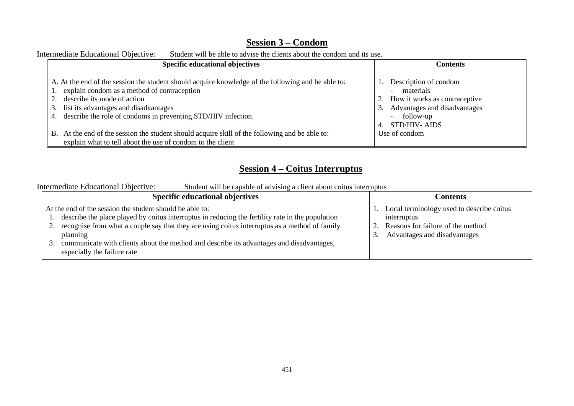# **Session 3 – Condom**

| Intermediate Educational Objective:<br>Student will be able to advise the clients about the condom and its use. |                                  |  |  |  |
|-----------------------------------------------------------------------------------------------------------------|----------------------------------|--|--|--|
| <b>Specific educational objectives</b>                                                                          | <b>Contents</b>                  |  |  |  |
|                                                                                                                 |                                  |  |  |  |
| A. At the end of the session the student should acquire knowledge of the following and be able to:              | Description of condom            |  |  |  |
| 1. explain condom as a method of contraception                                                                  | materials                        |  |  |  |
| describe its mode of action                                                                                     | 2. How it works as contraceptive |  |  |  |
| 3. list its advantages and disadvantages                                                                        | 3. Advantages and disadvantages  |  |  |  |
| describe the role of condoms in preventing STD/HIV infection.<br>4.                                             | - follow-up                      |  |  |  |
|                                                                                                                 | <b>STD/HIV-AIDS</b>              |  |  |  |
| B. At the end of the session the student should acquire skill of the following and be able to:                  | Use of condom                    |  |  |  |
| explain what to tell about the use of condom to the client                                                      |                                  |  |  |  |

# Intermediate Educational Objective: Student will be able to advise the clients about the condom and its

# **Session 4 – Coitus Interruptus**

Intermediate Educational Objective: Student will be capable of advising a client about coitus interruptus

| <b>Specific educational objectives</b>                                                                                                                                                                                                                                                                                                                                                               | Contents                                                                                                                      |
|------------------------------------------------------------------------------------------------------------------------------------------------------------------------------------------------------------------------------------------------------------------------------------------------------------------------------------------------------------------------------------------------------|-------------------------------------------------------------------------------------------------------------------------------|
| At the end of the session the student should be able to:<br>describe the place played by coitus interruptus in reducing the fertility rate in the population<br>recognise from what a couple say that they are using coitus interruptus as a method of family<br>planning<br>communicate with clients about the method and describe its advantages and disadvantages,<br>especially the failure rate | Local terminology used to describe coitus<br>interruptus<br>Reasons for failure of the method<br>Advantages and disadvantages |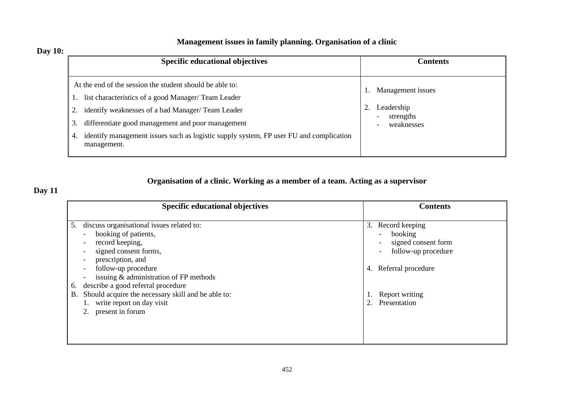# **Management issues in family planning. Organisation of a clinic**

# **Day 10:**

| <b>Specific educational objectives</b>                                                                                                                                                                                                                                                                                                  | <b>Contents</b>                                                                                                        |  |
|-----------------------------------------------------------------------------------------------------------------------------------------------------------------------------------------------------------------------------------------------------------------------------------------------------------------------------------------|------------------------------------------------------------------------------------------------------------------------|--|
| At the end of the session the student should be able to:<br>list characteristics of a good Manager/ Team Leader<br>identify weaknesses of a bad Manager/Team Leader<br>differentiate good management and poor management<br>identify management issues such as logistic supply system, FP user FU and complication<br>4.<br>management. | Management issues<br>Leadership<br>strengths<br>$\overline{\phantom{a}}$<br>weaknesses<br>$\qquad \qquad \blacksquare$ |  |

# **Organisation of a clinic. Working as a member of a team. Acting as a supervisor**

# **Day 11**

| <b>Specific educational objectives</b>                                                                                                                                                                                                                                                                                                                             | <b>Contents</b>                                                                                                                                                                               |  |
|--------------------------------------------------------------------------------------------------------------------------------------------------------------------------------------------------------------------------------------------------------------------------------------------------------------------------------------------------------------------|-----------------------------------------------------------------------------------------------------------------------------------------------------------------------------------------------|--|
| discuss organisational issues related to:<br>5.<br>booking of patients,<br>record keeping,<br>signed consent forms,<br>prescription, and<br>follow-up procedure<br>issuing & administration of FP methods<br>describe a good referral procedure<br>6.<br>Should acquire the necessary skill and be able to:<br>Β.<br>write report on day visit<br>present in forum | 3. Record keeping<br>booking<br>$\overline{\phantom{0}}$<br>signed consent form<br>follow-up procedure<br>$\overline{\phantom{a}}$<br>4. Referral procedure<br>Report writing<br>Presentation |  |
|                                                                                                                                                                                                                                                                                                                                                                    |                                                                                                                                                                                               |  |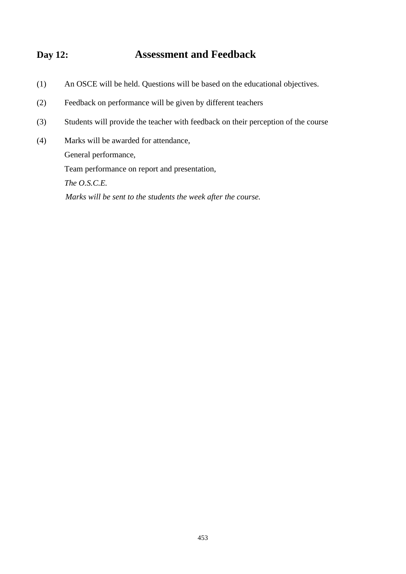# **Day 12: Assessment and Feedback**

- (1) An OSCE will be held. Questions will be based on the educational objectives.
- (2) Feedback on performance will be given by different teachers
- (3) Students will provide the teacher with feedback on their perception of the course
- (4) Marks will be awarded for attendance, General performance, Team performance on report and presentation, *The O.S.C.E. Marks will be sent to the students the week after the course.*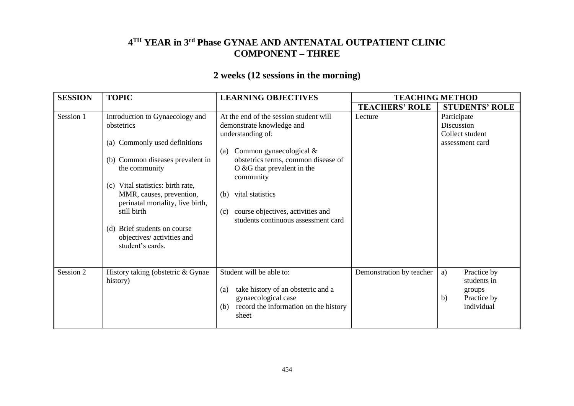# **4 TH YEAR in 3rd Phase GYNAE AND ANTENATAL OUTPATIENT CLINIC COMPONENT – THREE**

# **2 weeks (12 sessions in the morning)**

| <b>SESSION</b> | <b>TOPIC</b>                                                                                                                                                                                                                                                                                                                              | <b>LEARNING OBJECTIVES</b>                                                                                                                                                                                                                                                                                                                 | <b>TEACHING METHOD</b>   |                                                                               |
|----------------|-------------------------------------------------------------------------------------------------------------------------------------------------------------------------------------------------------------------------------------------------------------------------------------------------------------------------------------------|--------------------------------------------------------------------------------------------------------------------------------------------------------------------------------------------------------------------------------------------------------------------------------------------------------------------------------------------|--------------------------|-------------------------------------------------------------------------------|
|                |                                                                                                                                                                                                                                                                                                                                           |                                                                                                                                                                                                                                                                                                                                            | <b>TEACHERS' ROLE</b>    | <b>STUDENTS' ROLE</b>                                                         |
| Session 1      | Introduction to Gynaecology and<br>obstetrics<br>(a) Commonly used definitions<br>(b) Common diseases prevalent in<br>the community<br>(c) Vital statistics: birth rate,<br>MMR, causes, prevention,<br>perinatal mortality, live birth,<br>still birth<br>(d) Brief students on course<br>objectives/ activities and<br>student's cards. | At the end of the session student will<br>demonstrate knowledge and<br>understanding of:<br>Common gynaecological $&$<br>(a)<br>obstetrics terms, common disease of<br>$\overline{O}$ & G that prevalent in the<br>community<br>vital statistics<br>(b)<br>course objectives, activities and<br>(c)<br>students continuous assessment card | Lecture                  | Participate<br>Discussion<br>Collect student<br>assessment card               |
| Session 2      | History taking (obstetric & Gynae<br>history)                                                                                                                                                                                                                                                                                             | Student will be able to:<br>take history of an obstetric and a<br>(a)<br>gynaecological case<br>record the information on the history<br>(b)<br>sheet                                                                                                                                                                                      | Demonstration by teacher | Practice by<br>a)<br>students in<br>groups<br>Practice by<br>b)<br>individual |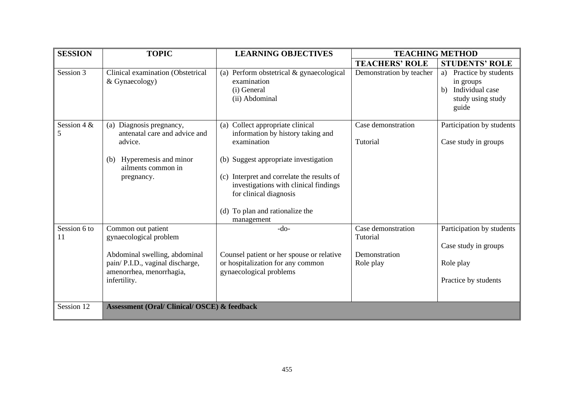| <b>SESSION</b>      | <b>TOPIC</b>                                                                                                                                                  | <b>LEARNING OBJECTIVES</b>                                                                                                                                                                                    | <b>TEACHING METHOD</b>                                       |                                                                                                |
|---------------------|---------------------------------------------------------------------------------------------------------------------------------------------------------------|---------------------------------------------------------------------------------------------------------------------------------------------------------------------------------------------------------------|--------------------------------------------------------------|------------------------------------------------------------------------------------------------|
|                     |                                                                                                                                                               |                                                                                                                                                                                                               | <b>TEACHERS' ROLE</b>                                        | <b>STUDENTS' ROLE</b>                                                                          |
| Session 3           | Clinical examination (Obstetrical<br>& Gynaecology)                                                                                                           | Perform obstetrical & gynaecological<br>(a)<br>examination<br>(i) General<br>(ii) Abdominal                                                                                                                   | Demonstration by teacher                                     | Practice by students<br>a)<br>in groups<br>Individual case<br>b)<br>study using study<br>guide |
| Session 4 $\&$<br>5 | Diagnosis pregnancy,<br>(a)<br>antenatal care and advice and<br>advice.                                                                                       | Collect appropriate clinical<br>(a)<br>information by history taking and<br>examination                                                                                                                       | Case demonstration<br>Tutorial                               | Participation by students<br>Case study in groups                                              |
|                     | Hyperemesis and minor<br>(b)<br>ailments common in<br>pregnancy.                                                                                              | (b) Suggest appropriate investigation<br>Interpret and correlate the results of<br>(c)<br>investigations with clinical findings<br>for clinical diagnosis<br>To plan and rationalize the<br>(d)<br>management |                                                              |                                                                                                |
| Session 6 to<br>11  | Common out patient<br>gynaecological problem<br>Abdominal swelling, abdominal<br>pain/ P.I.D., vaginal discharge,<br>amenorrhea, menorrhagia,<br>infertility. | $-do-$<br>Counsel patient or her spouse or relative<br>or hospitalization for any common<br>gynaecological problems                                                                                           | Case demonstration<br>Tutorial<br>Demonstration<br>Role play | Participation by students<br>Case study in groups<br>Role play<br>Practice by students         |
| Session 12          | <b>Assessment (Oral/ Clinical/ OSCE) &amp; feedback</b>                                                                                                       |                                                                                                                                                                                                               |                                                              |                                                                                                |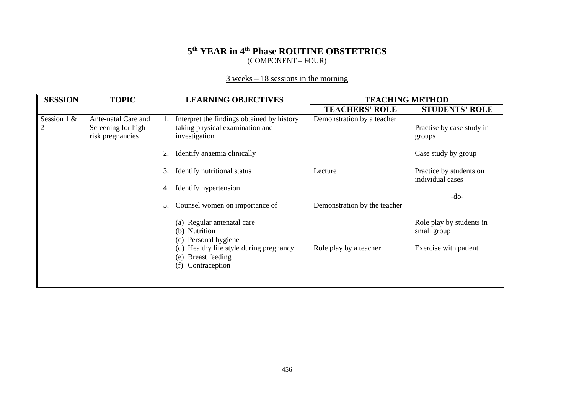# **5 th YEAR in 4th Phase ROUTINE OBSTETRICS** (COMPONENT – FOUR)

# $\frac{3 \text{ weeks} - 18 \text{ sessions in the morning}}{3 \text{ weeks}}$

| <b>SESSION</b>      | <b>TOPIC</b>                                                  | <b>LEARNING OBJECTIVES</b>                                                                     | <b>TEACHING METHOD</b>       |                                                |
|---------------------|---------------------------------------------------------------|------------------------------------------------------------------------------------------------|------------------------------|------------------------------------------------|
|                     |                                                               |                                                                                                | <b>TEACHERS' ROLE</b>        | <b>STUDENTS' ROLE</b>                          |
| Session 1 $\&$<br>2 | Ante-natal Care and<br>Screening for high<br>risk pregnancies | Interpret the findings obtained by history<br>taking physical examination and<br>investigation | Demonstration by a teacher   | Practise by case study in<br>groups            |
|                     |                                                               | Identify anaemia clinically<br>Identify nutritional status<br>3.                               | Lecture                      | Case study by group<br>Practice by students on |
|                     |                                                               | Identify hypertension<br>4.                                                                    |                              | individual cases                               |
|                     |                                                               | Counsel women on importance of<br>5.                                                           | Demonstration by the teacher | $-do-$                                         |
|                     |                                                               | Regular antenatal care<br>(a)<br>(b) Nutrition<br>Personal hygiene<br>(c)                      |                              | Role play by students in<br>small group        |
|                     |                                                               | Healthy life style during pregnancy<br><b>Breast feeding</b><br>(e)<br>Contraception<br>(f)    | Role play by a teacher       | Exercise with patient                          |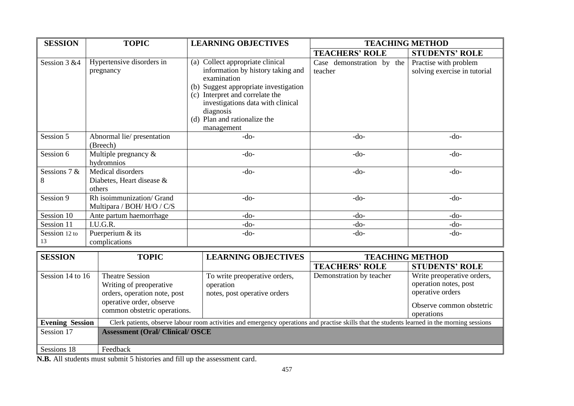| <b>SESSION</b>         | <b>TOPIC</b><br><b>LEARNING OBJECTIVES</b><br><b>TEACHING METHOD</b>                                                                          |                                                                                                                                                                                                                                                                  |                                      |                                                                                                                   |
|------------------------|-----------------------------------------------------------------------------------------------------------------------------------------------|------------------------------------------------------------------------------------------------------------------------------------------------------------------------------------------------------------------------------------------------------------------|--------------------------------------|-------------------------------------------------------------------------------------------------------------------|
|                        |                                                                                                                                               |                                                                                                                                                                                                                                                                  | <b>TEACHERS' ROLE</b>                | <b>STUDENTS' ROLE</b>                                                                                             |
| Session 3 &4           | Hypertensive disorders in<br>pregnancy                                                                                                        | (a) Collect appropriate clinical<br>information by history taking and<br>examination<br>(b) Suggest appropriate investigation<br>(c) Interpret and correlate the<br>investigations data with clinical<br>diagnosis<br>(d) Plan and rationalize the<br>management | Case demonstration by the<br>teacher | Practise with problem<br>solving exercise in tutorial                                                             |
| Session 5              | Abnormal lie/ presentation<br>(Breech)                                                                                                        | $-do-$                                                                                                                                                                                                                                                           | $-do-$                               | $-do-$                                                                                                            |
| Session 6              | Multiple pregnancy $\&$<br>hydromnios                                                                                                         | $-do-$                                                                                                                                                                                                                                                           | $-do-$                               | $-do-$                                                                                                            |
| Sessions 7 $&$<br>8    | Medical disorders<br>Diabetes, Heart disease &<br>others                                                                                      | $-do-$                                                                                                                                                                                                                                                           | $-do-$                               | $-do-$                                                                                                            |
| Session 9              | Rh isoimmunization/ Grand<br>Multipara / BOH/H/O / C/S                                                                                        | $-do-$                                                                                                                                                                                                                                                           | $-do-$                               | $-do-$                                                                                                            |
| Session 10             | Ante partum haemorrhage                                                                                                                       | $-do-$                                                                                                                                                                                                                                                           | $-do-$                               | $-do-$                                                                                                            |
| Session 11             | I.U.G.R.                                                                                                                                      | $-do-$                                                                                                                                                                                                                                                           | $-do-$                               | $-do-$                                                                                                            |
| Session 12 to<br>13    | Puerperium & its<br>complications                                                                                                             | $-do-$                                                                                                                                                                                                                                                           | $-do-$                               | $-do-$                                                                                                            |
| <b>SESSION</b>         | <b>TOPIC</b>                                                                                                                                  | <b>LEARNING OBJECTIVES</b>                                                                                                                                                                                                                                       | <b>TEACHING METHOD</b>               |                                                                                                                   |
|                        |                                                                                                                                               |                                                                                                                                                                                                                                                                  | <b>TEACHERS' ROLE</b>                | <b>STUDENTS' ROLE</b>                                                                                             |
| Session 14 to 16       | <b>Theatre Session</b><br>Writing of preoperative<br>orders, operation note, post<br>operative order, observe<br>common obstetric operations. | To write preoperative orders,<br>operation<br>notes, post operative orders                                                                                                                                                                                       | Demonstration by teacher             | Write preoperative orders,<br>operation notes, post<br>operative orders<br>Observe common obstetric<br>operations |
| <b>Evening Session</b> |                                                                                                                                               | Clerk patients, observe labour room activities and emergency operations and practise skills that the students learned in the morning sessions                                                                                                                    |                                      |                                                                                                                   |
| Session 17             | <b>Assessment (Oral/ Clinical/ OSCE</b>                                                                                                       |                                                                                                                                                                                                                                                                  |                                      |                                                                                                                   |
| Sessions 18            | Feedback                                                                                                                                      |                                                                                                                                                                                                                                                                  |                                      |                                                                                                                   |

**N.B.** All students must submit 5 histories and fill up the assessment card.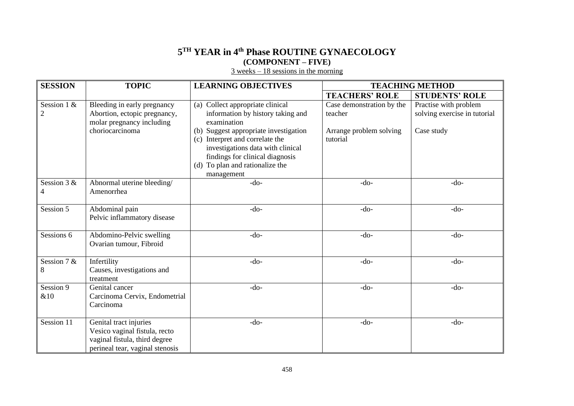# **5 TH YEAR in 4th Phase ROUTINE GYNAECOLOGY (COMPONENT – FIVE)**

 $\frac{3 \text{ weeks} - 18 \text{ sessions in the morning}}{3 \text{ weeks}}$ 

| <b>SESSION</b>                | <b>TOPIC</b>                                                                                                                | <b>LEARNING OBJECTIVES</b>                                                                                                                                                                        | <b>TEACHING METHOD</b>               |                                                       |
|-------------------------------|-----------------------------------------------------------------------------------------------------------------------------|---------------------------------------------------------------------------------------------------------------------------------------------------------------------------------------------------|--------------------------------------|-------------------------------------------------------|
|                               |                                                                                                                             |                                                                                                                                                                                                   | <b>TEACHERS' ROLE</b>                | <b>STUDENTS' ROLE</b>                                 |
| Session 1 &<br>$\overline{2}$ | Bleeding in early pregnancy<br>Abortion, ectopic pregnancy,<br>molar pregnancy including                                    | (a) Collect appropriate clinical<br>information by history taking and<br>examination                                                                                                              | Case demonstration by the<br>teacher | Practise with problem<br>solving exercise in tutorial |
|                               | choriocarcinoma                                                                                                             | (b) Suggest appropriate investigation<br>(c) Interpret and correlate the<br>investigations data with clinical<br>findings for clinical diagnosis<br>(d) To plan and rationalize the<br>management | Arrange problem solving<br>tutorial  | Case study                                            |
| Session 3 &<br>4              | Abnormal uterine bleeding/<br>Amenorrhea                                                                                    | $-do-$                                                                                                                                                                                            | $-do-$                               | $-do-$                                                |
| Session 5                     | Abdominal pain<br>Pelvic inflammatory disease                                                                               | $-do-$                                                                                                                                                                                            | $-do-$                               | $-do-$                                                |
| Sessions 6                    | Abdomino-Pelvic swelling<br>Ovarian tumour, Fibroid                                                                         | $-do-$                                                                                                                                                                                            | $-do-$                               | -do-                                                  |
| Session 7 &<br>8              | Infertility<br>Causes, investigations and<br>treatment                                                                      | $-do-$                                                                                                                                                                                            | $-do-$                               | $-do-$                                                |
| Session 9<br>&10              | Genital cancer<br>Carcinoma Cervix, Endometrial<br>Carcinoma                                                                | $-do-$                                                                                                                                                                                            | $-do-$                               | $-do-$                                                |
| Session 11                    | Genital tract injuries<br>Vesico vaginal fistula, recto<br>vaginal fistula, third degree<br>perineal tear, vaginal stenosis | $-do-$                                                                                                                                                                                            | $-do-$                               | $-do-$                                                |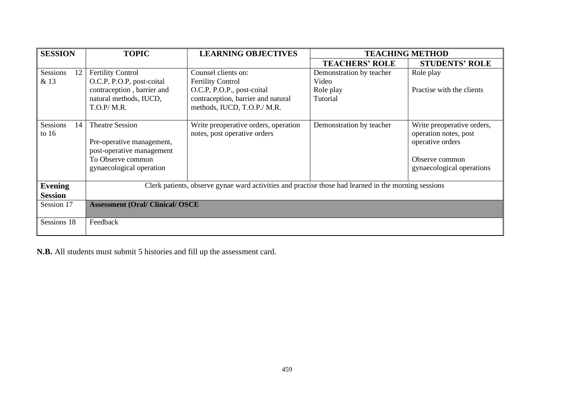| <b>SESSION</b>        | <b>TOPIC</b>                                                                                         | <b>LEARNING OBJECTIVES</b>           | <b>TEACHING METHOD</b>   |                            |  |
|-----------------------|------------------------------------------------------------------------------------------------------|--------------------------------------|--------------------------|----------------------------|--|
|                       |                                                                                                      |                                      | <b>TEACHERS' ROLE</b>    | <b>STUDENTS' ROLE</b>      |  |
| Sessions<br>12        | <b>Fertility Control</b>                                                                             | Counsel clients on:                  | Demonstration by teacher | Role play                  |  |
| & 13                  | O.C.P, P.O.P, post-coital                                                                            | <b>Fertility Control</b>             | Video                    |                            |  |
|                       | contraception, barrier and                                                                           | O.C.P, P.O.P., post-coital           | Role play                | Practise with the clients  |  |
|                       | natural methods, IUCD,                                                                               | contraception, barrier and natural   | Tutorial                 |                            |  |
|                       | T.O.P/M.R.                                                                                           | methods, IUCD, T.O.P./ M.R.          |                          |                            |  |
|                       |                                                                                                      |                                      |                          |                            |  |
| <b>Sessions</b><br>14 | <b>Theatre Session</b>                                                                               | Write preoperative orders, operation | Demonstration by teacher | Write preoperative orders, |  |
| to $16$               |                                                                                                      | notes, post operative orders         |                          | operation notes, post      |  |
|                       | Pre-operative management,                                                                            |                                      |                          | operative orders           |  |
|                       | post-operative management                                                                            |                                      |                          |                            |  |
|                       | To Observe common                                                                                    |                                      |                          | Observe common             |  |
|                       | gynaecological operation                                                                             |                                      |                          | gynaecological operations  |  |
| <b>Evening</b>        | Clerk patients, observe gynae ward activities and practise those had learned in the morning sessions |                                      |                          |                            |  |
| <b>Session</b>        |                                                                                                      |                                      |                          |                            |  |
| Session 17            | <b>Assessment (Oral/ Clinical/ OSCE)</b>                                                             |                                      |                          |                            |  |
|                       |                                                                                                      |                                      |                          |                            |  |
| Sessions 18           | Feedback                                                                                             |                                      |                          |                            |  |
|                       |                                                                                                      |                                      |                          |                            |  |

**N.B.** All students must submit 5 histories and fill up the assessment card.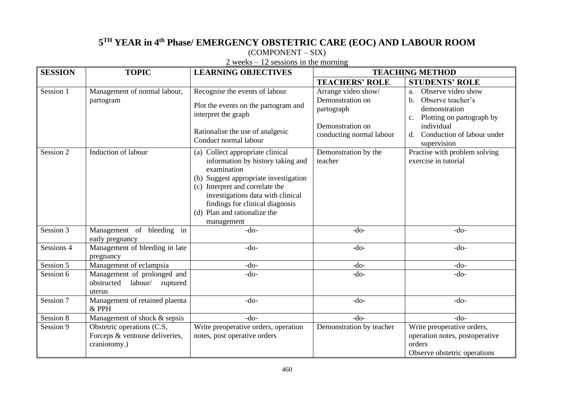# **5 TH YEAR in 4th Phase/ EMERGENCY OBSTETRIC CARE (EOC) AND LABOUR ROOM**

(COMPONENT – SIX)

Session 1

Session 2

|                               | $\epsilon$ weeks $\epsilon$ is sessions in the morning |                                                                                                                                                                                                                                                                                                 |                                                                                                       |                                                                                                                                                                    |  |  |  |
|-------------------------------|--------------------------------------------------------|-------------------------------------------------------------------------------------------------------------------------------------------------------------------------------------------------------------------------------------------------------------------------------------------------|-------------------------------------------------------------------------------------------------------|--------------------------------------------------------------------------------------------------------------------------------------------------------------------|--|--|--|
| <b>SESSION</b>                | <b>TOPIC</b>                                           | <b>LEARNING OBJECTIVES</b>                                                                                                                                                                                                                                                                      | <b>TEACHING METHOD</b>                                                                                |                                                                                                                                                                    |  |  |  |
|                               |                                                        |                                                                                                                                                                                                                                                                                                 | <b>TEACHERS' ROLE</b>                                                                                 | <b>STUDENTS' ROLE</b>                                                                                                                                              |  |  |  |
| Session 1                     | Management of normal labour,<br>partogram              | Recognise the events of labour<br>Plot the events on the partogram and<br>interpret the graph<br>Rationalise the use of analgesic<br>Conduct normal labour                                                                                                                                      | Arrange video show/<br>Demonstration on<br>partograph<br>Demonstration on<br>conducting normal labour | Observe video show<br>a.<br>Observe teacher's<br>b.<br>demonstration<br>Plotting on partograph by<br>individual<br>Conduction of labour under<br>d.<br>supervision |  |  |  |
| Session 2                     | Induction of labour                                    | (a) Collect appropriate clinical<br>information by history taking and<br>examination<br>Suggest appropriate investigation<br>(b)<br>Interpret and correlate the<br>(c)<br>investigations data with clinical<br>findings for clinical diagnosis<br>Plan and rationalize the<br>(d)<br>management | Demonstration by the<br>teacher                                                                       | Practise with problem solving<br>exercise in tutorial                                                                                                              |  |  |  |
| Session 3                     | Management of bleeding in<br>early pregnancy           | $-do-$                                                                                                                                                                                                                                                                                          | $-do-$                                                                                                | $-do-$                                                                                                                                                             |  |  |  |
| Sessions 4                    | Management of bleeding in late<br>pregnancy            | $-do-$                                                                                                                                                                                                                                                                                          | $-do-$                                                                                                | $-do-$                                                                                                                                                             |  |  |  |
| $C_{\text{equation}}$ $\zeta$ | Monogament of colomnaic                                | $\lambda$                                                                                                                                                                                                                                                                                       | $\lambda$                                                                                             | $\lambda$                                                                                                                                                          |  |  |  |

2 weeks – 12 sessions in the morning

|            |                                                                              | investigations data with clinical<br>findings for clinical diagnosis<br>(d) Plan and rationalize the<br>management |                          |                                                                                                        |
|------------|------------------------------------------------------------------------------|--------------------------------------------------------------------------------------------------------------------|--------------------------|--------------------------------------------------------------------------------------------------------|
| Session 3  | Management of bleeding in<br>early pregnancy                                 | -do-                                                                                                               | $-do-$                   | $-do-$                                                                                                 |
| Sessions 4 | Management of bleeding in late<br>pregnancy                                  | -do-                                                                                                               | $-do-$                   | $-do-$                                                                                                 |
| Session 5  | Management of eclampsia                                                      | $-do-$                                                                                                             | $-do-$                   | $-do-$                                                                                                 |
| Session 6  | Management of prolonged and<br>obstructed labour/ ruptured<br>uterus         | $-do-$                                                                                                             | $-do-$                   | $-do-$                                                                                                 |
| Session 7  | Management of retained plaenta<br>$&$ PPH                                    | $-do-$                                                                                                             | $-do-$                   | $-do-$                                                                                                 |
| Session 8  | Management of shock & sepsis                                                 | $-do-$                                                                                                             | $-do-$                   | $-do-$                                                                                                 |
| Session 9  | Obstetric operations (C.S,<br>Forceps & ventouse deliveries,<br>craniotomy.) | Write preoperative orders, operation<br>notes, post operative orders                                               | Demonstration by teacher | Write preoperative orders,<br>operation notes, postoperative<br>orders<br>Observe obstetric operations |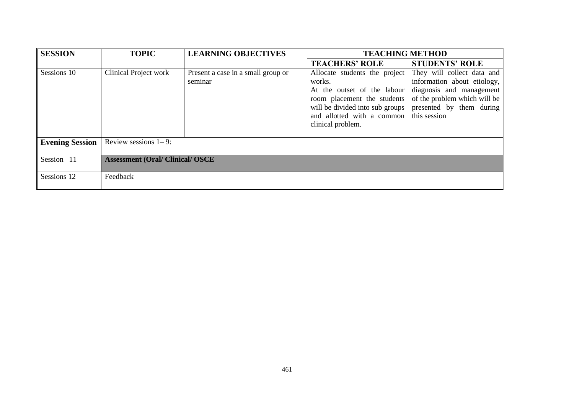| <b>SESSION</b>         | <b>TOPIC</b>                             | <b>LEARNING OBJECTIVES</b>                    | <b>TEACHING METHOD</b>                                                                                                                                                                                                                                                       |                                                                         |
|------------------------|------------------------------------------|-----------------------------------------------|------------------------------------------------------------------------------------------------------------------------------------------------------------------------------------------------------------------------------------------------------------------------------|-------------------------------------------------------------------------|
|                        |                                          |                                               | <b>TEACHERS' ROLE</b>                                                                                                                                                                                                                                                        | <b>STUDENTS' ROLE</b>                                                   |
| Sessions 10            | Clinical Project work                    | Present a case in a small group or<br>seminar | Allocate students the project They will collect data and<br>works.<br>At the outset of the labour diagnosis and management<br>room placement the students of the problem which will be<br>will be divided into sub groups<br>and allotted with a common<br>clinical problem. | information about etiology,<br>presented by them during<br>this session |
| <b>Evening Session</b> | Review sessions $1-9$ :                  |                                               |                                                                                                                                                                                                                                                                              |                                                                         |
| Session 11             | <b>Assessment (Oral/ Clinical/ OSCE)</b> |                                               |                                                                                                                                                                                                                                                                              |                                                                         |
| Sessions 12            | Feedback                                 |                                               |                                                                                                                                                                                                                                                                              |                                                                         |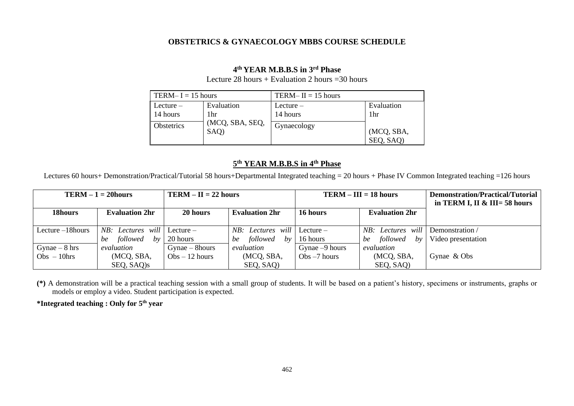#### **OBSTETRICS & GYNAECOLOGY MBBS COURSE SCHEDULE**

#### **4 th YEAR M.B.B.S in 3rd Phase**

Lecture 28 hours + Evaluation 2 hours =  $30$  hours

| TERM-I = $15$ hours        |                         | TERM-II = 15 hours         |                         |  |
|----------------------------|-------------------------|----------------------------|-------------------------|--|
| $L$ ecture $-$<br>14 hours | Evaluation<br>1hr       | $L$ ecture $-$<br>14 hours | Evaluation<br>1hr       |  |
| <b>Obstetrics</b>          | (MCQ, SBA, SEQ,<br>SAQ) | Gynaecology                | (MCQ, SBA,<br>SEQ, SAQ) |  |

#### **5 th YEAR M.B.B.S in 4th Phase**

Lectures 60 hours+ Demonstration/Practical/Tutorial 58 hours+Departmental Integrated teaching = 20 hours + Phase IV Common Integrated teaching =126 hours

| $TERM – 1 = 20 hours$ |                                      | $TERM – II = 22 hours$ |                               | $TERM – III = 18 hours$ |                                   | Demonstration/Practical/Tutorial<br>in TERM I, II $\&$ III= 58 hours |
|-----------------------|--------------------------------------|------------------------|-------------------------------|-------------------------|-----------------------------------|----------------------------------------------------------------------|
| 18hours               | <b>Evaluation 2hr</b>                | 20 hours               | <b>Evaluation 2hr</b>         | 16 hours                | <b>Evaluation 2hr</b>             |                                                                      |
| Lecture $-18$ hours   | <i>NB: Lectures will</i>   Lecture – |                        | $NB:$ Lectures will Lecture – |                         | NB: Lectures will Demonstration / |                                                                      |
|                       | followed<br>$b$ v<br>be              | 20 hours               | followed<br>be<br>bv          | 16 hours                | followed<br>bv<br>be              | Video presentation                                                   |
| Gynae $-8$ hrs        | evaluation                           | $G$ ynae – 8 $hours$   | evaluation                    | Gynae $-9$ hours        | evaluation                        |                                                                      |
| $Obs - 10 hrs$        | (MCQ, SBA,                           | $Obs - 12 hours$       | (MCQ, SBA,                    | $Obs - 7 hours$         | (MCQ, SBA,                        | Gynae & Obs                                                          |
|                       | SEQ, SAQ)s                           |                        | SEQ, SAQ)                     |                         | SEQ, SAQ)                         |                                                                      |

**(\*)** A demonstration will be a practical teaching session with a small group of students. It will be based on a patient's history, specimens or instruments, graphs or models or employ a video. Student participation is expected.

**\*Integrated teaching : Only for 5th year**